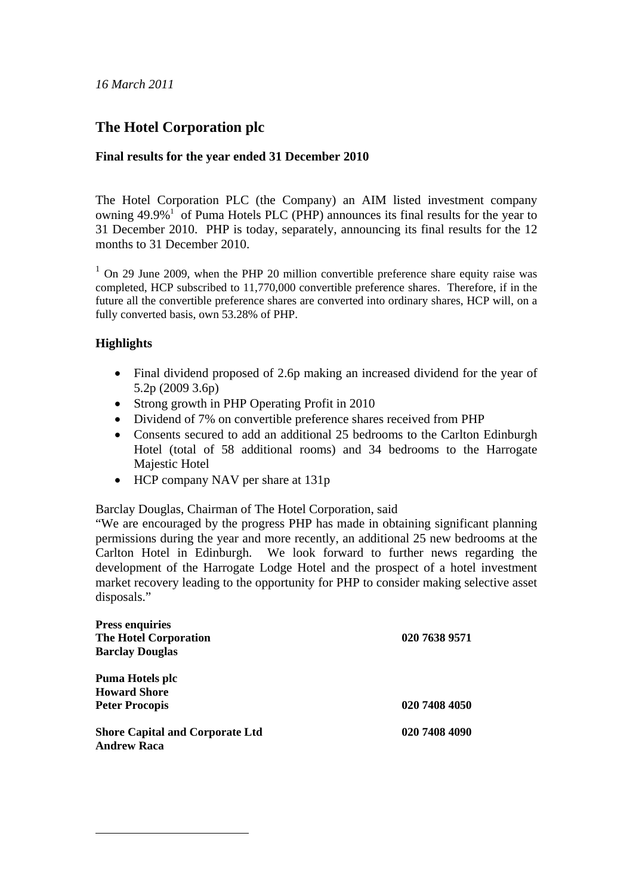*16 March 2011* 

# **The Hotel Corporation plc**

# **Final results for the year ended 31 December 2010**

The Hotel Corporation PLC (the Company) an AIM listed investment company owning  $49.9\%$ <sup>1</sup> of Puma Hotels PLC (PHP) announces its final results for the year to 31 December 2010. PHP is today, separately, announcing its final results for the 12 months to 31 December 2010.

 $1$  On 29 June 2009, when the PHP 20 million convertible preference share equity raise was completed, HCP subscribed to 11,770,000 convertible preference shares. Therefore, if in the future all the convertible preference shares are converted into ordinary shares, HCP will, on a fully converted basis, own 53.28% of PHP.

# **Highlights**

 $\overline{a}$ 

- Final dividend proposed of 2.6p making an increased dividend for the year of 5.2p (2009 3.6p)
- Strong growth in PHP Operating Profit in 2010
- Dividend of 7% on convertible preference shares received from PHP
- Consents secured to add an additional 25 bedrooms to the Carlton Edinburgh Hotel (total of 58 additional rooms) and 34 bedrooms to the Harrogate Majestic Hotel
- HCP company NAV per share at 131p

Barclay Douglas, Chairman of The Hotel Corporation, said

"We are encouraged by the progress PHP has made in obtaining significant planning permissions during the year and more recently, an additional 25 new bedrooms at the Carlton Hotel in Edinburgh. We look forward to further news regarding the development of the Harrogate Lodge Hotel and the prospect of a hotel investment market recovery leading to the opportunity for PHP to consider making selective asset disposals."

| <b>Press enquiries</b>                 |               |
|----------------------------------------|---------------|
| <b>The Hotel Corporation</b>           | 020 7638 9571 |
| <b>Barclay Douglas</b>                 |               |
| Puma Hotels plc                        |               |
| <b>Howard Shore</b>                    |               |
| <b>Peter Procopis</b>                  | 020 7408 4050 |
| <b>Shore Capital and Corporate Ltd</b> | 020 7408 4090 |
| <b>Andrew Raca</b>                     |               |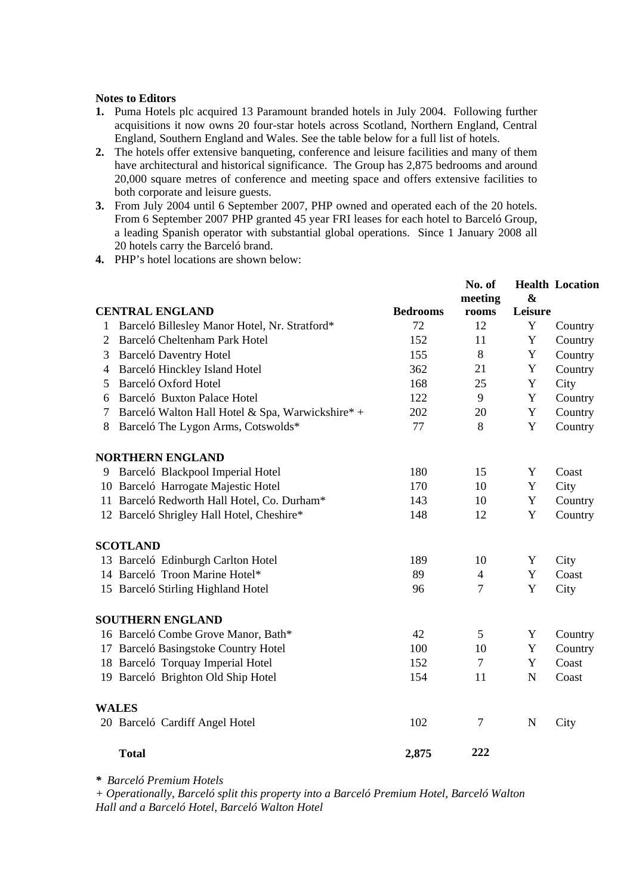## **Notes to Editors**

- **1.** Puma Hotels plc acquired 13 Paramount branded hotels in July 2004. Following further acquisitions it now owns 20 four-star hotels across Scotland, Northern England, Central England, Southern England and Wales. See the table below for a full list of hotels.
- **2.** The hotels offer extensive banqueting, conference and leisure facilities and many of them have architectural and historical significance. The Group has 2,875 bedrooms and around 20,000 square metres of conference and meeting space and offers extensive facilities to both corporate and leisure guests.
- **3.** From July 2004 until 6 September 2007, PHP owned and operated each of the 20 hotels. From 6 September 2007 PHP granted 45 year FRI leases for each hotel to Barceló Group, a leading Spanish operator with substantial global operations. Since 1 January 2008 all 20 hotels carry the Barceló brand.
- **4.** PHP's hotel locations are shown below:

|                |                                                  |                 | No. of<br>meeting | $\boldsymbol{\&}$ | <b>Health Location</b> |
|----------------|--------------------------------------------------|-----------------|-------------------|-------------------|------------------------|
|                | <b>CENTRAL ENGLAND</b>                           | <b>Bedrooms</b> | rooms             | Leisure           |                        |
| $\mathbf{1}$   | Barceló Billesley Manor Hotel, Nr. Stratford*    | 72              | 12                | Y                 | Country                |
| $\overline{2}$ | Barceló Cheltenham Park Hotel                    | 152             | 11                | $\mathbf Y$       | Country                |
| 3              | <b>Barceló Daventry Hotel</b>                    | 155             | 8                 | Y                 | Country                |
| $\overline{4}$ | Barceló Hinckley Island Hotel                    | 362             | 21                | Y                 | Country                |
| 5              | Barceló Oxford Hotel                             | 168             | 25                | Y                 | City                   |
| 6              | Barceló Buxton Palace Hotel                      | 122             | 9                 | Y                 | Country                |
| 7              | Barceló Walton Hall Hotel & Spa, Warwickshire* + | 202             | 20                | $\mathbf Y$       | Country                |
| 8              | Barceló The Lygon Arms, Cotswolds*               | 77              | 8                 | $\mathbf Y$       | Country                |
|                | <b>NORTHERN ENGLAND</b>                          |                 |                   |                   |                        |
| 9              | Barceló Blackpool Imperial Hotel                 | 180             | 15                | Y                 | Coast                  |
|                | 10 Barceló Harrogate Majestic Hotel              | 170             | 10                | Y                 | City                   |
|                | 11 Barceló Redworth Hall Hotel, Co. Durham*      | 143             | 10                | Y                 | Country                |
|                | 12 Barceló Shrigley Hall Hotel, Cheshire*        | 148             | 12                | Y                 | Country                |
|                | <b>SCOTLAND</b>                                  |                 |                   |                   |                        |
|                | 13 Barceló Edinburgh Carlton Hotel               | 189             | 10                | Y                 | City                   |
|                | 14 Barceló Troon Marine Hotel*                   | 89              | $\overline{4}$    | $\mathbf Y$       | Coast                  |
|                | 15 Barceló Stirling Highland Hotel               | 96              | $\overline{7}$    | Y                 | City                   |
|                | <b>SOUTHERN ENGLAND</b>                          |                 |                   |                   |                        |
|                | 16 Barceló Combe Grove Manor, Bath*              | 42              | 5                 | Y                 | Country                |
|                | 17 Barceló Basingstoke Country Hotel             | 100             | 10                | Y                 | Country                |
|                | 18 Barceló Torquay Imperial Hotel                | 152             | $\tau$            | Y                 | Coast                  |
|                | 19 Barceló Brighton Old Ship Hotel               | 154             | 11                | ${\bf N}$         | Coast                  |
|                | <b>WALES</b>                                     |                 |                   |                   |                        |
|                | 20 Barceló Cardiff Angel Hotel                   | 102             | $\tau$            | $\mathbf N$       | City                   |
|                | <b>Total</b>                                     | 2,875           | 222               |                   |                        |

*\* Barceló Premium Hotels*

*+ Operationally, Barceló split this property into a Barceló Premium Hotel, Barceló Walton Hall and a Barceló Hotel, Barceló Walton Hotel*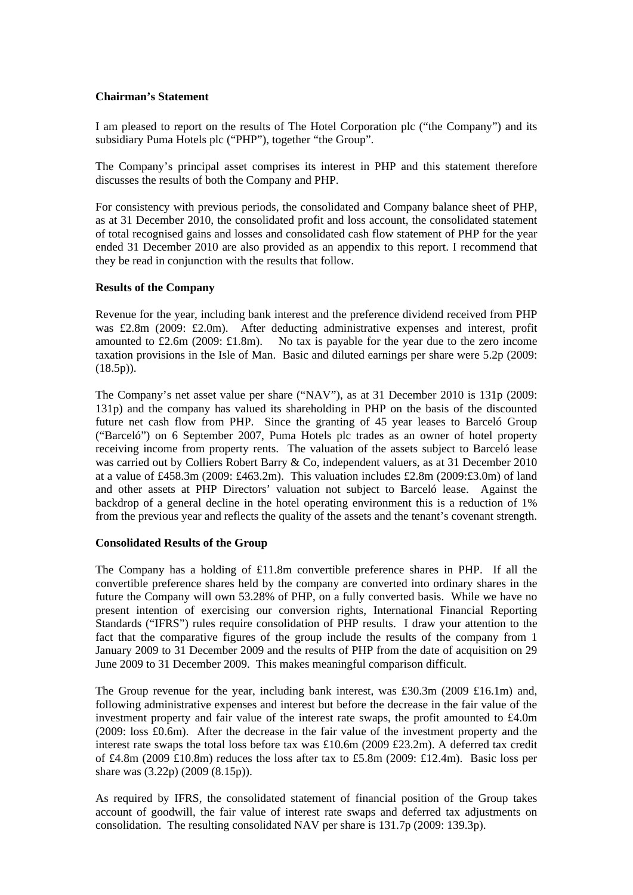#### **Chairman's Statement**

I am pleased to report on the results of The Hotel Corporation plc ("the Company") and its subsidiary Puma Hotels plc ("PHP"), together "the Group".

The Company's principal asset comprises its interest in PHP and this statement therefore discusses the results of both the Company and PHP.

For consistency with previous periods, the consolidated and Company balance sheet of PHP, as at 31 December 2010, the consolidated profit and loss account, the consolidated statement of total recognised gains and losses and consolidated cash flow statement of PHP for the year ended 31 December 2010 are also provided as an appendix to this report. I recommend that they be read in conjunction with the results that follow.

# **Results of the Company**

Revenue for the year, including bank interest and the preference dividend received from PHP was £2.8m (2009: £2.0m). After deducting administrative expenses and interest, profit amounted to £2.6m (2009: £1.8m). No tax is payable for the year due to the zero income taxation provisions in the Isle of Man. Basic and diluted earnings per share were 5.2p (2009:  $(18.5p)$ ).

The Company's net asset value per share ("NAV"), as at 31 December 2010 is 131p (2009: 131p) and the company has valued its shareholding in PHP on the basis of the discounted future net cash flow from PHP. Since the granting of 45 year leases to Barceló Group ("Barceló") on 6 September 2007, Puma Hotels plc trades as an owner of hotel property receiving income from property rents. The valuation of the assets subject to Barceló lease was carried out by Colliers Robert Barry & Co, independent valuers, as at 31 December 2010 at a value of £458.3m (2009: £463.2m). This valuation includes £2.8m (2009:£3.0m) of land and other assets at PHP Directors' valuation not subject to Barceló lease. Against the backdrop of a general decline in the hotel operating environment this is a reduction of 1% from the previous year and reflects the quality of the assets and the tenant's covenant strength.

#### **Consolidated Results of the Group**

The Company has a holding of £11.8m convertible preference shares in PHP. If all the convertible preference shares held by the company are converted into ordinary shares in the future the Company will own 53.28% of PHP, on a fully converted basis. While we have no present intention of exercising our conversion rights, International Financial Reporting Standards ("IFRS") rules require consolidation of PHP results. I draw your attention to the fact that the comparative figures of the group include the results of the company from 1 January 2009 to 31 December 2009 and the results of PHP from the date of acquisition on 29 June 2009 to 31 December 2009. This makes meaningful comparison difficult.

The Group revenue for the year, including bank interest, was £30.3m (2009 £16.1m) and, following administrative expenses and interest but before the decrease in the fair value of the investment property and fair value of the interest rate swaps, the profit amounted to £4.0m (2009: loss £0.6m). After the decrease in the fair value of the investment property and the interest rate swaps the total loss before tax was £10.6m (2009 £23.2m). A deferred tax credit of £4.8m (2009 £10.8m) reduces the loss after tax to £5.8m (2009: £12.4m). Basic loss per share was (3.22p) (2009 (8.15p)).

As required by IFRS, the consolidated statement of financial position of the Group takes account of goodwill, the fair value of interest rate swaps and deferred tax adjustments on consolidation. The resulting consolidated NAV per share is 131.7p (2009: 139.3p).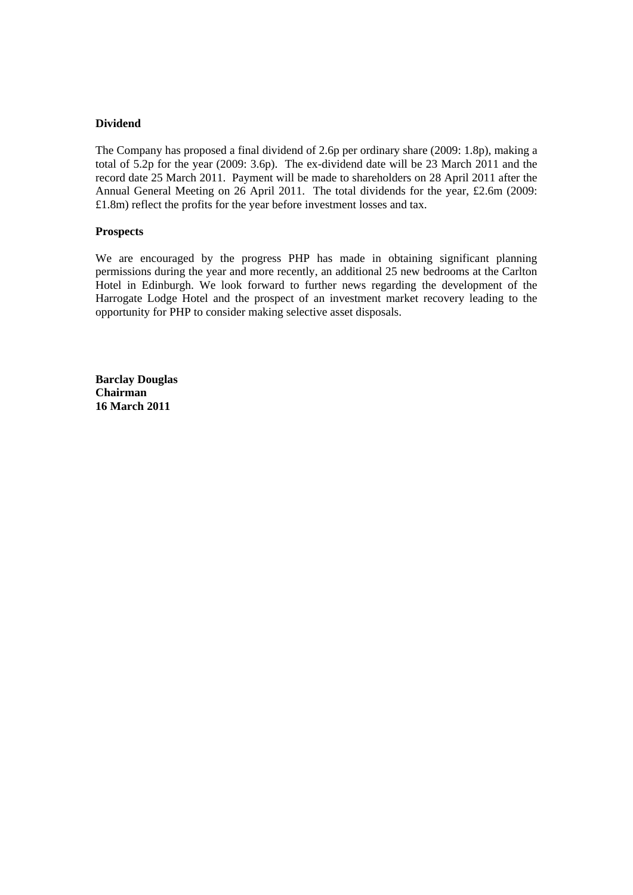# **Dividend**

The Company has proposed a final dividend of 2.6p per ordinary share (2009: 1.8p), making a total of 5.2p for the year (2009: 3.6p). The ex-dividend date will be 23 March 2011 and the record date 25 March 2011. Payment will be made to shareholders on 28 April 2011 after the Annual General Meeting on 26 April 2011. The total dividends for the year, £2.6m (2009: £1.8m) reflect the profits for the year before investment losses and tax.

## **Prospects**

We are encouraged by the progress PHP has made in obtaining significant planning permissions during the year and more recently, an additional 25 new bedrooms at the Carlton Hotel in Edinburgh. We look forward to further news regarding the development of the Harrogate Lodge Hotel and the prospect of an investment market recovery leading to the opportunity for PHP to consider making selective asset disposals.

**Barclay Douglas Chairman 16 March 2011**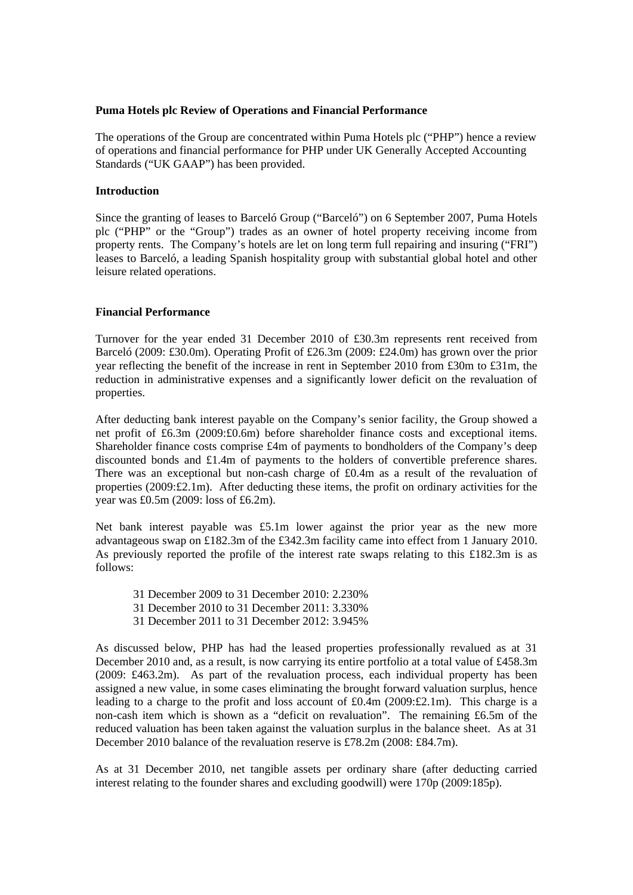#### **Puma Hotels plc Review of Operations and Financial Performance**

The operations of the Group are concentrated within Puma Hotels plc ("PHP") hence a review of operations and financial performance for PHP under UK Generally Accepted Accounting Standards ("UK GAAP") has been provided.

#### **Introduction**

Since the granting of leases to Barceló Group ("Barceló") on 6 September 2007, Puma Hotels plc ("PHP" or the "Group") trades as an owner of hotel property receiving income from property rents. The Company's hotels are let on long term full repairing and insuring ("FRI") leases to Barceló, a leading Spanish hospitality group with substantial global hotel and other leisure related operations.

#### **Financial Performance**

Turnover for the year ended 31 December 2010 of £30.3m represents rent received from Barceló (2009: £30.0m). Operating Profit of £26.3m (2009: £24.0m) has grown over the prior year reflecting the benefit of the increase in rent in September 2010 from £30m to £31m, the reduction in administrative expenses and a significantly lower deficit on the revaluation of properties.

After deducting bank interest payable on the Company's senior facility, the Group showed a net profit of £6.3m (2009:£0.6m) before shareholder finance costs and exceptional items. Shareholder finance costs comprise £4m of payments to bondholders of the Company's deep discounted bonds and £1.4m of payments to the holders of convertible preference shares. There was an exceptional but non-cash charge of £0.4m as a result of the revaluation of properties  $(2009:£2.1m)$ . After deducting these items, the profit on ordinary activities for the year was £0.5m (2009: loss of £6.2m).

Net bank interest payable was £5.1m lower against the prior year as the new more advantageous swap on £182.3m of the £342.3m facility came into effect from 1 January 2010. As previously reported the profile of the interest rate swaps relating to this £182.3m is as follows:

- 31 December 2009 to 31 December 2010: 2.230%
- 31 December 2010 to 31 December 2011: 3.330%
- 31 December 2011 to 31 December 2012: 3.945%

As discussed below, PHP has had the leased properties professionally revalued as at 31 December 2010 and, as a result, is now carrying its entire portfolio at a total value of £458.3m (2009: £463.2m). As part of the revaluation process, each individual property has been assigned a new value, in some cases eliminating the brought forward valuation surplus, hence leading to a charge to the profit and loss account of £0.4m (2009:£2.1m). This charge is a non-cash item which is shown as a "deficit on revaluation". The remaining £6.5m of the reduced valuation has been taken against the valuation surplus in the balance sheet. As at 31 December 2010 balance of the revaluation reserve is £78.2m (2008: £84.7m).

As at 31 December 2010, net tangible assets per ordinary share (after deducting carried interest relating to the founder shares and excluding goodwill) were 170p (2009:185p).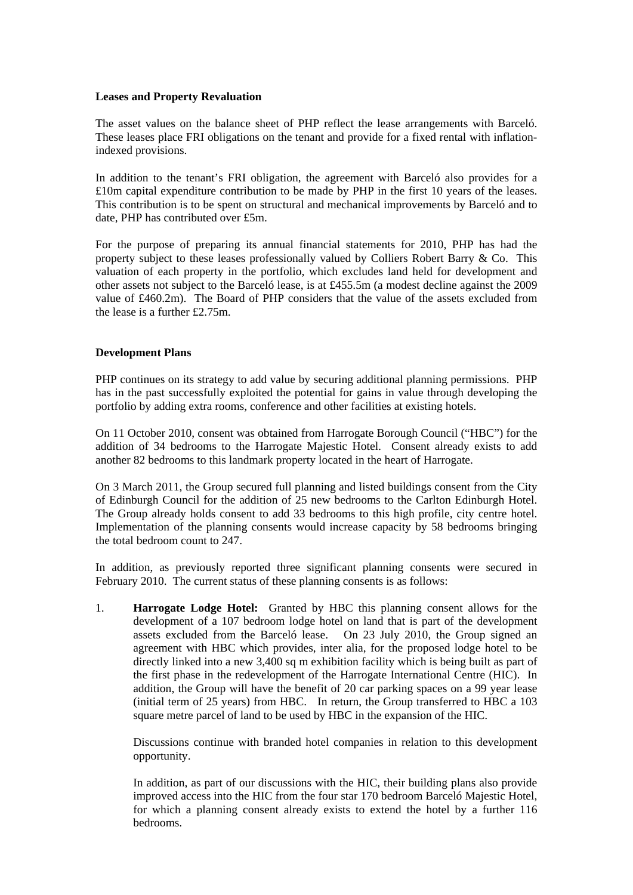## **Leases and Property Revaluation**

The asset values on the balance sheet of PHP reflect the lease arrangements with Barceló. These leases place FRI obligations on the tenant and provide for a fixed rental with inflationindexed provisions.

In addition to the tenant's FRI obligation, the agreement with Barceló also provides for a £10m capital expenditure contribution to be made by PHP in the first 10 years of the leases. This contribution is to be spent on structural and mechanical improvements by Barceló and to date, PHP has contributed over £5m.

For the purpose of preparing its annual financial statements for 2010, PHP has had the property subject to these leases professionally valued by Colliers Robert Barry & Co. This valuation of each property in the portfolio, which excludes land held for development and other assets not subject to the Barceló lease, is at £455.5m (a modest decline against the 2009 value of £460.2m). The Board of PHP considers that the value of the assets excluded from the lease is a further  $f2.75m$ .

# **Development Plans**

PHP continues on its strategy to add value by securing additional planning permissions. PHP has in the past successfully exploited the potential for gains in value through developing the portfolio by adding extra rooms, conference and other facilities at existing hotels.

On 11 October 2010, consent was obtained from Harrogate Borough Council ("HBC") for the addition of 34 bedrooms to the Harrogate Majestic Hotel. Consent already exists to add another 82 bedrooms to this landmark property located in the heart of Harrogate.

On 3 March 2011, the Group secured full planning and listed buildings consent from the City of Edinburgh Council for the addition of 25 new bedrooms to the Carlton Edinburgh Hotel. The Group already holds consent to add 33 bedrooms to this high profile, city centre hotel. Implementation of the planning consents would increase capacity by 58 bedrooms bringing the total bedroom count to 247.

In addition, as previously reported three significant planning consents were secured in February 2010. The current status of these planning consents is as follows:

1. **Harrogate Lodge Hotel:** Granted by HBC this planning consent allows for the development of a 107 bedroom lodge hotel on land that is part of the development assets excluded from the Barceló lease. On 23 July 2010, the Group signed an On 23 July 2010, the Group signed an agreement with HBC which provides, inter alia, for the proposed lodge hotel to be directly linked into a new 3,400 sq m exhibition facility which is being built as part of the first phase in the redevelopment of the Harrogate International Centre (HIC). In addition, the Group will have the benefit of 20 car parking spaces on a 99 year lease (initial term of 25 years) from HBC. In return, the Group transferred to HBC a 103 square metre parcel of land to be used by HBC in the expansion of the HIC.

Discussions continue with branded hotel companies in relation to this development opportunity.

In addition, as part of our discussions with the HIC, their building plans also provide improved access into the HIC from the four star 170 bedroom Barceló Majestic Hotel, for which a planning consent already exists to extend the hotel by a further 116 bedrooms.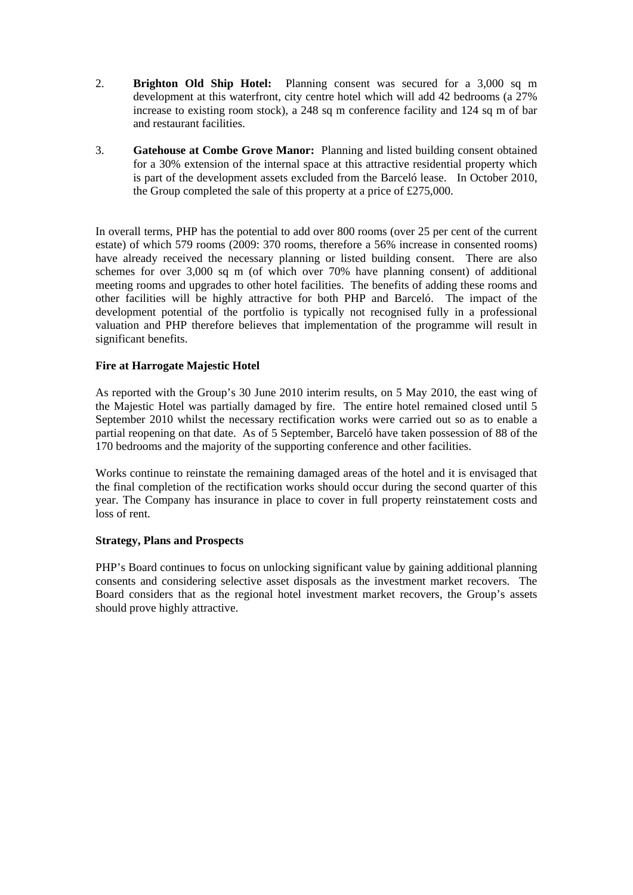- 2. **Brighton Old Ship Hotel:** Planning consent was secured for a 3,000 sq m development at this waterfront, city centre hotel which will add 42 bedrooms (a 27% increase to existing room stock), a 248 sq m conference facility and 124 sq m of bar and restaurant facilities.
- 3. **Gatehouse at Combe Grove Manor:** Planning and listed building consent obtained for a 30% extension of the internal space at this attractive residential property which is part of the development assets excluded from the Barceló lease. In October 2010, the Group completed the sale of this property at a price of £275,000.

In overall terms, PHP has the potential to add over 800 rooms (over 25 per cent of the current estate) of which 579 rooms (2009: 370 rooms, therefore a 56% increase in consented rooms) have already received the necessary planning or listed building consent. There are also schemes for over 3,000 sq m (of which over 70% have planning consent) of additional meeting rooms and upgrades to other hotel facilities. The benefits of adding these rooms and other facilities will be highly attractive for both PHP and Barceló. The impact of the development potential of the portfolio is typically not recognised fully in a professional valuation and PHP therefore believes that implementation of the programme will result in significant benefits.

# **Fire at Harrogate Majestic Hotel**

As reported with the Group's 30 June 2010 interim results, on 5 May 2010, the east wing of the Majestic Hotel was partially damaged by fire. The entire hotel remained closed until 5 September 2010 whilst the necessary rectification works were carried out so as to enable a partial reopening on that date. As of 5 September, Barceló have taken possession of 88 of the 170 bedrooms and the majority of the supporting conference and other facilities.

Works continue to reinstate the remaining damaged areas of the hotel and it is envisaged that the final completion of the rectification works should occur during the second quarter of this year. The Company has insurance in place to cover in full property reinstatement costs and loss of rent.

# **Strategy, Plans and Prospects**

PHP's Board continues to focus on unlocking significant value by gaining additional planning consents and considering selective asset disposals as the investment market recovers. The Board considers that as the regional hotel investment market recovers, the Group's assets should prove highly attractive.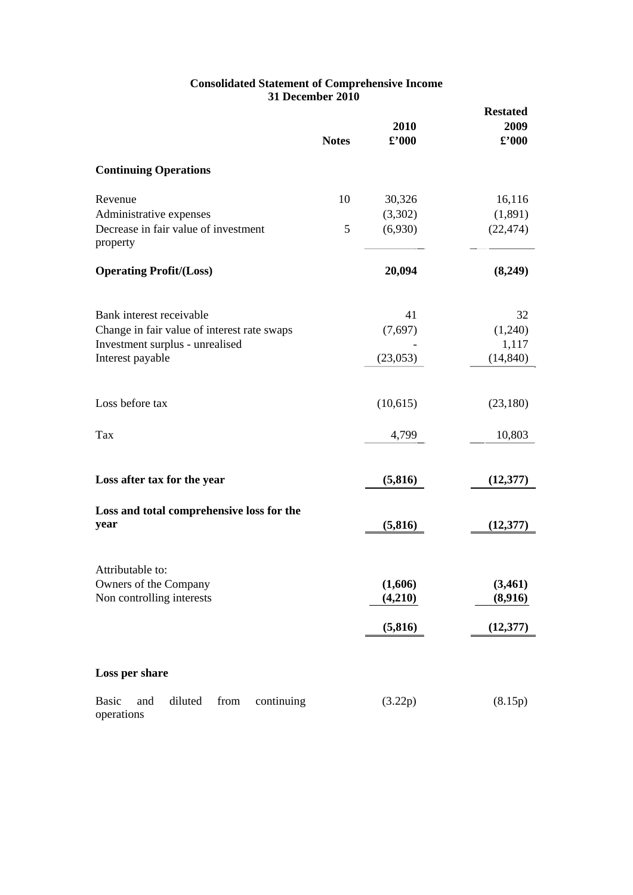# **Consolidated Statement of Comprehensive Income 31 December 2010**

|                                                                    |              |                | <b>Restated</b> |
|--------------------------------------------------------------------|--------------|----------------|-----------------|
|                                                                    |              | 2010           | 2009            |
|                                                                    | <b>Notes</b> | $\pounds$ '000 | $\pounds$ '000  |
| <b>Continuing Operations</b>                                       |              |                |                 |
| Revenue                                                            | 10           | 30,326         | 16,116          |
| Administrative expenses                                            |              | (3,302)        | (1,891)         |
| Decrease in fair value of investment<br>property                   | 5            | (6,930)        | (22, 474)       |
| <b>Operating Profit/(Loss)</b>                                     |              | 20,094         | (8,249)         |
| Bank interest receivable                                           |              | 41             | 32              |
| Change in fair value of interest rate swaps                        |              | (7,697)        | (1,240)         |
| Investment surplus - unrealised                                    |              |                | 1,117           |
| Interest payable                                                   |              | (23,053)       | (14, 840)       |
|                                                                    |              |                |                 |
| Loss before tax                                                    |              | (10,615)       | (23,180)        |
| Tax                                                                |              | 4,799          | 10,803          |
|                                                                    |              |                |                 |
| Loss after tax for the year                                        |              | (5, 816)       | (12,377)        |
| Loss and total comprehensive loss for the                          |              |                |                 |
| year                                                               |              | (5, 816)       | (12, 377)       |
|                                                                    |              |                |                 |
| Attributable to:                                                   |              |                |                 |
| Owners of the Company                                              |              | (1,606)        | (3,461)         |
| Non controlling interests                                          |              | (4,210)        | (8,916)         |
|                                                                    |              | (5, 816)       | (12, 377)       |
|                                                                    |              |                |                 |
| Loss per share                                                     |              |                |                 |
| diluted<br><b>Basic</b><br>from<br>continuing<br>and<br>operations |              | (3.22p)        | (8.15p)         |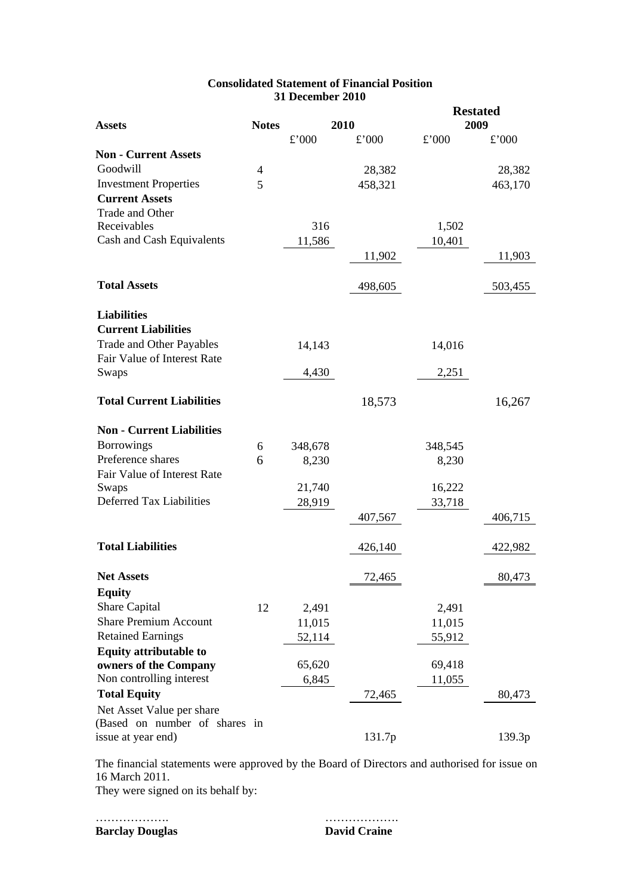# **Consolidated Statement of Financial Position 31 December 2010**

|                                                       |                |         |         | <b>Restated</b> |         |
|-------------------------------------------------------|----------------|---------|---------|-----------------|---------|
| <b>Assets</b>                                         | <b>Notes</b>   |         | 2010    | 2009            |         |
|                                                       |                | £'000   | £'000   | £'000           | £'000   |
| <b>Non - Current Assets</b>                           |                |         |         |                 |         |
| Goodwill                                              | $\overline{4}$ |         | 28,382  |                 | 28,382  |
| <b>Investment Properties</b><br><b>Current Assets</b> | 5              |         | 458,321 |                 | 463,170 |
| Trade and Other                                       |                |         |         |                 |         |
| Receivables                                           |                | 316     |         | 1,502           |         |
| Cash and Cash Equivalents                             |                | 11,586  |         | 10,401          |         |
|                                                       |                |         | 11,902  |                 | 11,903  |
|                                                       |                |         |         |                 |         |
| <b>Total Assets</b>                                   |                |         | 498,605 |                 | 503,455 |
| <b>Liabilities</b>                                    |                |         |         |                 |         |
| <b>Current Liabilities</b>                            |                |         |         |                 |         |
| Trade and Other Payables                              |                | 14,143  |         | 14,016          |         |
| Fair Value of Interest Rate                           |                |         |         |                 |         |
| Swaps                                                 |                | 4,430   |         | 2,251           |         |
| <b>Total Current Liabilities</b>                      |                |         | 18,573  |                 | 16,267  |
| <b>Non - Current Liabilities</b>                      |                |         |         |                 |         |
| <b>Borrowings</b>                                     | 6              | 348,678 |         | 348,545         |         |
| Preference shares                                     | 6              | 8,230   |         | 8,230           |         |
| Fair Value of Interest Rate                           |                |         |         |                 |         |
| Swaps                                                 |                | 21,740  |         | 16,222          |         |
| <b>Deferred Tax Liabilities</b>                       |                | 28,919  |         | 33,718          |         |
|                                                       |                |         | 407,567 |                 | 406,715 |
| <b>Total Liabilities</b>                              |                |         | 426,140 |                 | 422,982 |
| <b>Net Assets</b>                                     |                |         | 72,465  |                 | 80,473  |
| <b>Equity</b>                                         |                |         |         |                 |         |
| Share Capital                                         | 12             | 2,491   |         | 2,491           |         |
| <b>Share Premium Account</b>                          |                | 11,015  |         | 11,015          |         |
| <b>Retained Earnings</b>                              |                | 52,114  |         | 55,912          |         |
| <b>Equity attributable to</b>                         |                |         |         |                 |         |
| owners of the Company                                 |                | 65,620  |         | 69,418          |         |
| Non controlling interest                              |                | 6,845   |         | 11,055          |         |
| <b>Total Equity</b>                                   |                |         | 72,465  |                 | 80,473  |
| Net Asset Value per share                             |                |         |         |                 |         |
| (Based on number of shares in                         |                |         |         |                 |         |
| issue at year end)                                    |                |         | 131.7p  |                 | 139.3p  |

The financial statements were approved by the Board of Directors and authorised for issue on 16 March 2011.

They were signed on its behalf by:

………………. ………………. **Barclay Douglas David Craine**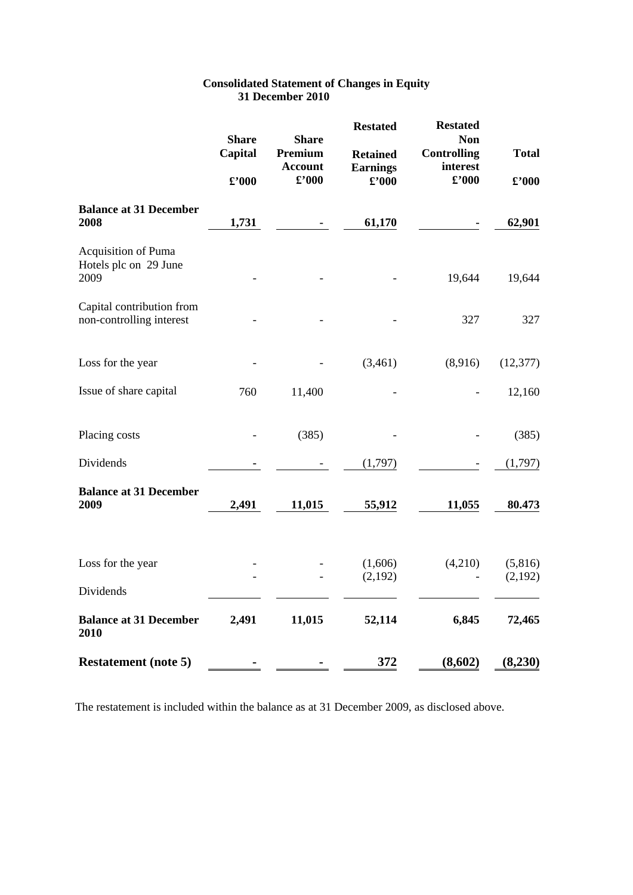|                                                       | <b>Share</b><br>Capital<br>$\pounds$ '000 | <b>Share</b><br>Premium<br><b>Account</b><br>$\pounds$ '000 | <b>Restated</b><br><b>Retained</b><br><b>Earnings</b><br>$\pmb{\pounds}^{\prime}000$ | <b>Restated</b><br><b>Non</b><br><b>Controlling</b><br>interest<br>$\pounds$ '000 | <b>Total</b><br>$\pounds$ '000 |
|-------------------------------------------------------|-------------------------------------------|-------------------------------------------------------------|--------------------------------------------------------------------------------------|-----------------------------------------------------------------------------------|--------------------------------|
| <b>Balance at 31 December</b><br>2008                 | 1,731                                     |                                                             | 61,170                                                                               |                                                                                   | 62,901                         |
| Acquisition of Puma<br>Hotels plc on 29 June<br>2009  |                                           |                                                             |                                                                                      | 19,644                                                                            | 19,644                         |
| Capital contribution from<br>non-controlling interest |                                           |                                                             |                                                                                      | 327                                                                               | 327                            |
| Loss for the year                                     |                                           |                                                             | (3,461)                                                                              | (8,916)                                                                           | (12, 377)                      |
| Issue of share capital                                | 760                                       | 11,400                                                      |                                                                                      |                                                                                   | 12,160                         |
| Placing costs                                         |                                           | (385)                                                       |                                                                                      |                                                                                   | (385)                          |
| Dividends                                             |                                           |                                                             | (1,797)                                                                              |                                                                                   | (1,797)                        |
| <b>Balance at 31 December</b><br>2009                 | 2,491                                     | 11,015                                                      | 55,912                                                                               | 11,055                                                                            | 80.473                         |
| Loss for the year<br>Dividends                        |                                           |                                                             | (1,606)<br>(2,192)                                                                   | (4,210)                                                                           | (5,816)<br>(2,192)             |
| <b>Balance at 31 December</b><br>2010                 | 2,491                                     | 11,015                                                      | 52,114                                                                               | 6,845                                                                             | 72,465                         |
| <b>Restatement</b> (note 5)                           |                                           |                                                             | 372                                                                                  | (8,602)                                                                           | (8,230)                        |

# **Consolidated Statement of Changes in Equity 31 December 2010**

The restatement is included within the balance as at 31 December 2009, as disclosed above.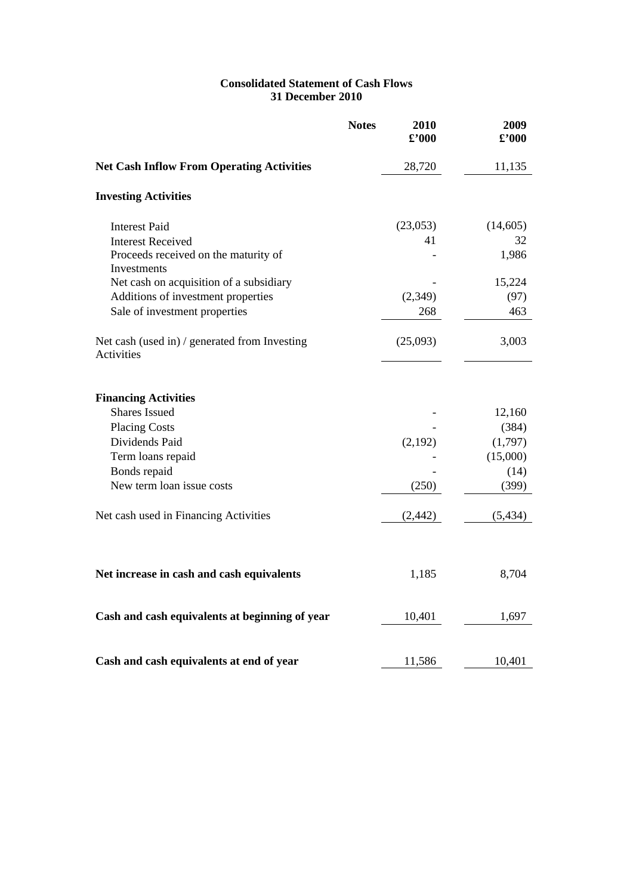# **Consolidated Statement of Cash Flows 31 December 2010**

|                                                             | <b>Notes</b> | 2010<br>$\pounds$ '000 | 2009<br>$\pounds$ '000 |
|-------------------------------------------------------------|--------------|------------------------|------------------------|
| <b>Net Cash Inflow From Operating Activities</b>            |              | 28,720                 | 11,135                 |
| <b>Investing Activities</b>                                 |              |                        |                        |
| <b>Interest Paid</b>                                        |              | (23,053)               | (14,605)               |
| <b>Interest Received</b>                                    |              | 41                     | 32                     |
| Proceeds received on the maturity of<br>Investments         |              |                        | 1,986                  |
| Net cash on acquisition of a subsidiary                     |              |                        | 15,224                 |
| Additions of investment properties                          |              | (2,349)                | (97)                   |
| Sale of investment properties                               |              | 268                    | 463                    |
| Net cash (used in) / generated from Investing<br>Activities |              | (25,093)               | 3,003                  |
| <b>Financing Activities</b>                                 |              |                        |                        |
| <b>Shares Issued</b>                                        |              |                        | 12,160                 |
| <b>Placing Costs</b>                                        |              |                        | (384)                  |
| Dividends Paid                                              |              | (2,192)                | (1,797)                |
| Term loans repaid                                           |              |                        | (15,000)               |
| Bonds repaid                                                |              |                        | (14)                   |
| New term loan issue costs                                   |              | (250)                  | (399)                  |
| Net cash used in Financing Activities                       |              | (2, 442)               | (5, 434)               |
|                                                             |              |                        |                        |
| Net increase in cash and cash equivalents                   |              | 1,185                  | 8,704                  |
| Cash and cash equivalents at beginning of year              |              | 10,401                 | 1,697                  |
| Cash and cash equivalents at end of year                    |              | 11,586                 | 10,401                 |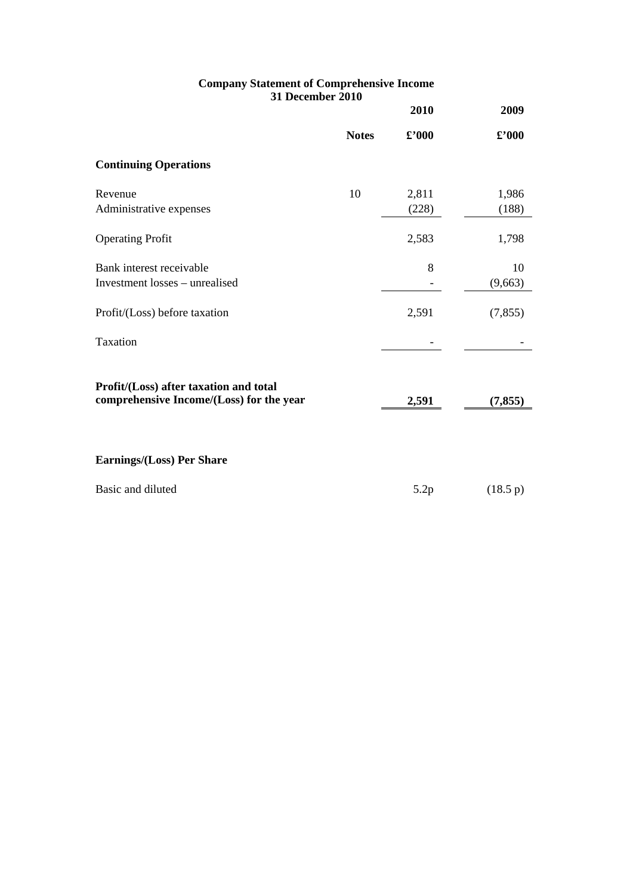# **Company Statement of Comprehensive Income 31 December 2010**

|                                                                                    |              | 2010           | 2009                        |
|------------------------------------------------------------------------------------|--------------|----------------|-----------------------------|
|                                                                                    | <b>Notes</b> | $\pounds$ '000 | $\pmb{\pounds}^{\prime}000$ |
| <b>Continuing Operations</b>                                                       |              |                |                             |
| Revenue<br>Administrative expenses                                                 | 10           | 2,811<br>(228) | 1,986<br>(188)              |
| <b>Operating Profit</b>                                                            |              | 2,583          | 1,798                       |
| Bank interest receivable<br>Investment losses – unrealised                         |              | 8              | 10<br>(9,663)               |
| Profit/(Loss) before taxation                                                      |              | 2,591          | (7, 855)                    |
| Taxation                                                                           |              |                |                             |
| Profit/(Loss) after taxation and total<br>comprehensive Income/(Loss) for the year |              | 2,591          | (7, 855)                    |
| <b>Earnings/(Loss) Per Share</b>                                                   |              |                |                             |
| Basic and diluted                                                                  |              | 5.2p           | (18.5 p)                    |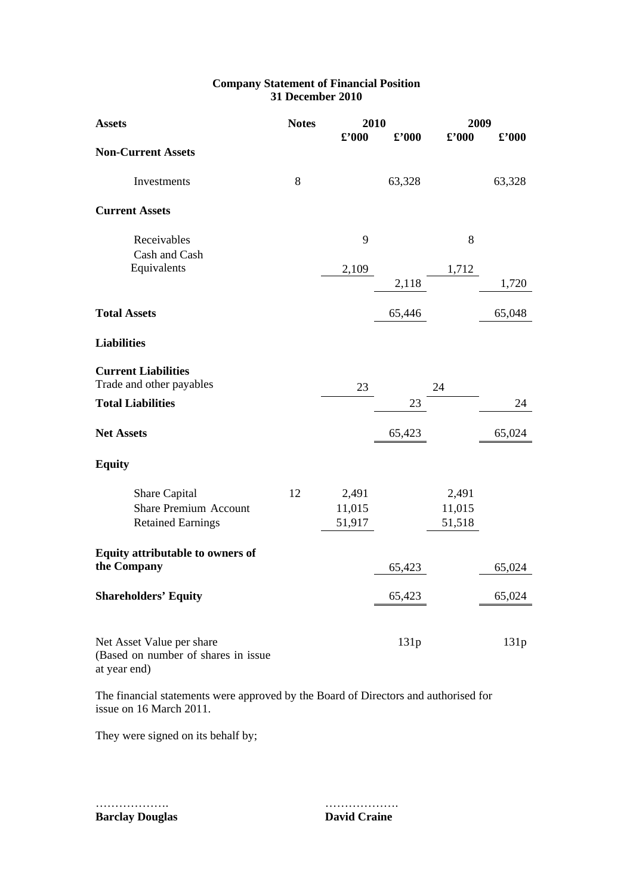# **Company Statement of Financial Position 31 December 2010**

| <b>Assets</b>                                                    | <b>Notes</b> | 2010   |                | 2009   |                |
|------------------------------------------------------------------|--------------|--------|----------------|--------|----------------|
|                                                                  |              | £'000  | $\pounds$ '000 | £'000  | $\pounds$ '000 |
| <b>Non-Current Assets</b>                                        |              |        |                |        |                |
| Investments                                                      | $8\,$        |        | 63,328         |        | 63,328         |
| <b>Current Assets</b>                                            |              |        |                |        |                |
| Receivables<br>Cash and Cash                                     |              | 9      |                | 8      |                |
| Equivalents                                                      |              | 2,109  |                | 1,712  |                |
|                                                                  |              |        | 2,118          |        | 1,720          |
| <b>Total Assets</b>                                              |              |        | 65,446         |        | 65,048         |
| <b>Liabilities</b>                                               |              |        |                |        |                |
| <b>Current Liabilities</b>                                       |              |        |                |        |                |
| Trade and other payables                                         |              | 23     |                | 24     |                |
| <b>Total Liabilities</b>                                         |              |        | 23             |        | 24             |
| <b>Net Assets</b>                                                |              |        | 65,423         |        | 65,024         |
| <b>Equity</b>                                                    |              |        |                |        |                |
| Share Capital                                                    | 12           | 2,491  |                | 2,491  |                |
| <b>Share Premium Account</b>                                     |              | 11,015 |                | 11,015 |                |
| <b>Retained Earnings</b>                                         |              | 51,917 |                | 51,518 |                |
| Equity attributable to owners of<br>the Company                  |              |        | 65,423         |        | 65,024         |
|                                                                  |              |        |                |        |                |
| <b>Shareholders' Equity</b>                                      |              |        | 65,423         |        | 65,024         |
| Net Asset Value per share<br>(Based on number of shares in issue |              |        | 131p           |        | 131p           |

at year end)

The financial statements were approved by the Board of Directors and authorised for issue on 16 March 2011.

They were signed on its behalf by;

………………. ………………. **Barclay Douglas**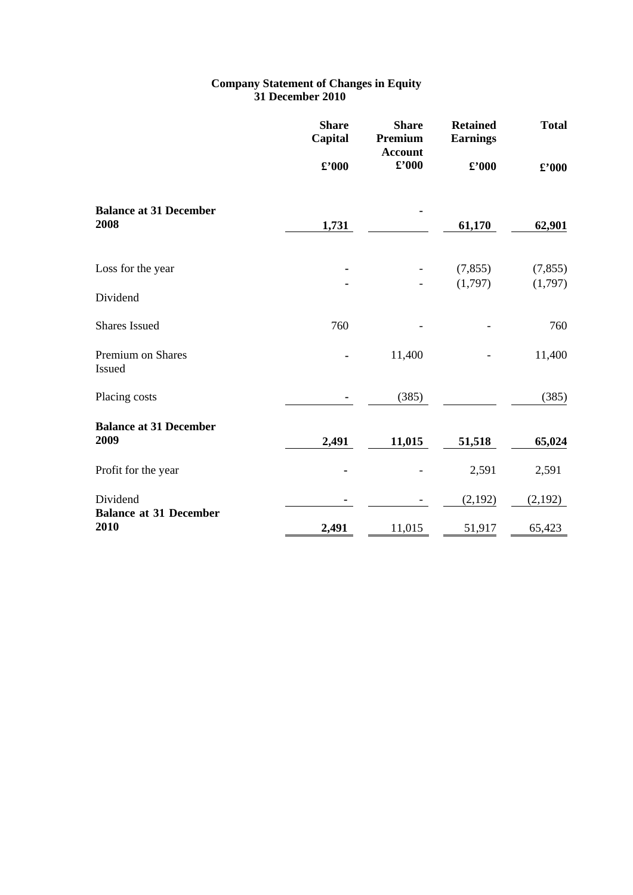# **Company Statement of Changes in Equity 31 December 2010**

|                                           | <b>Share</b><br>Capital | <b>Share</b><br>Premium<br><b>Account</b> | <b>Retained</b><br><b>Earnings</b> | <b>Total</b>        |
|-------------------------------------------|-------------------------|-------------------------------------------|------------------------------------|---------------------|
|                                           | $\pounds$ '000          | £'000                                     | $\pounds$ '000                     | $\pounds$ '000      |
| <b>Balance at 31 December</b><br>2008     | 1,731                   |                                           | 61,170                             | 62,901              |
| Loss for the year<br>Dividend             |                         |                                           | (7, 855)<br>(1,797)                | (7, 855)<br>(1,797) |
| Shares Issued                             | 760                     |                                           |                                    | 760                 |
| Premium on Shares<br>Issued               |                         | 11,400                                    |                                    | 11,400              |
| Placing costs                             |                         | (385)                                     |                                    | (385)               |
| <b>Balance at 31 December</b><br>2009     | 2,491                   | 11,015                                    | 51,518                             | 65,024              |
| Profit for the year                       |                         |                                           | 2,591                              | 2,591               |
| Dividend<br><b>Balance at 31 December</b> |                         |                                           | (2,192)                            | (2,192)             |
| 2010                                      | 2,491                   | 11,015                                    | 51,917                             | 65,423              |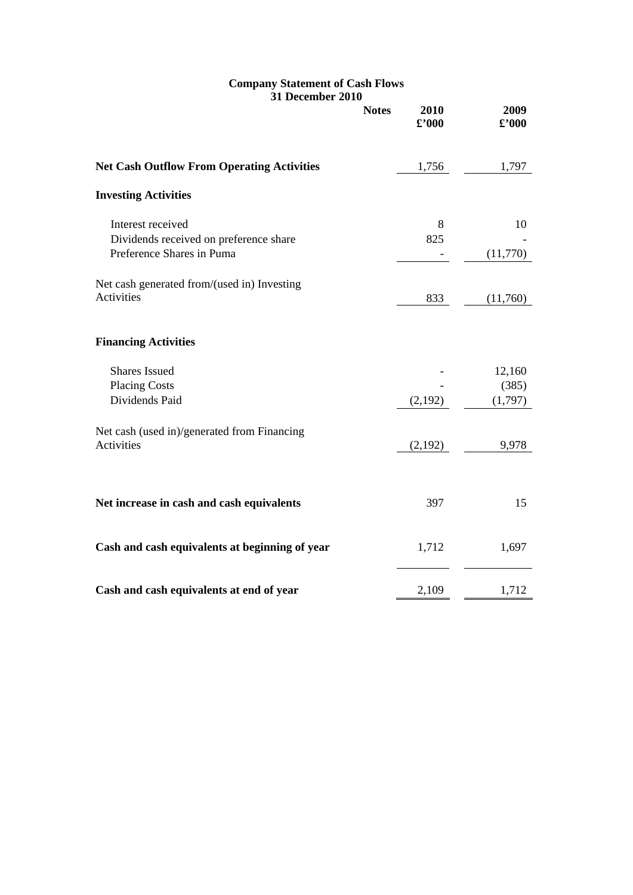# **Company Statement of Cash Flows 31 December 2010**

|                                                                     | <b>Notes</b> | 2010<br>$\pounds$ '000 | 2009<br>$\pounds$ '000 |
|---------------------------------------------------------------------|--------------|------------------------|------------------------|
| <b>Net Cash Outflow From Operating Activities</b>                   |              | 1,756                  | 1,797                  |
| <b>Investing Activities</b>                                         |              |                        |                        |
| Interest received                                                   |              | 8                      | 10                     |
| Dividends received on preference share<br>Preference Shares in Puma |              | 825                    | (11,770)               |
| Net cash generated from/(used in) Investing<br>Activities           |              | 833                    | (11,760)               |
| <b>Financing Activities</b>                                         |              |                        |                        |
| Shares Issued                                                       |              |                        | 12,160                 |
| <b>Placing Costs</b>                                                |              |                        | (385)                  |
| Dividends Paid                                                      |              | (2,192)                | (1,797)                |
| Net cash (used in)/generated from Financing                         |              |                        |                        |
| Activities                                                          |              | (2,192)                | 9,978                  |
|                                                                     |              |                        |                        |
| Net increase in cash and cash equivalents                           |              | 397                    | 15                     |
| Cash and cash equivalents at beginning of year                      |              | 1,712                  | 1,697                  |
| Cash and cash equivalents at end of year                            |              | 2,109                  | 1,712                  |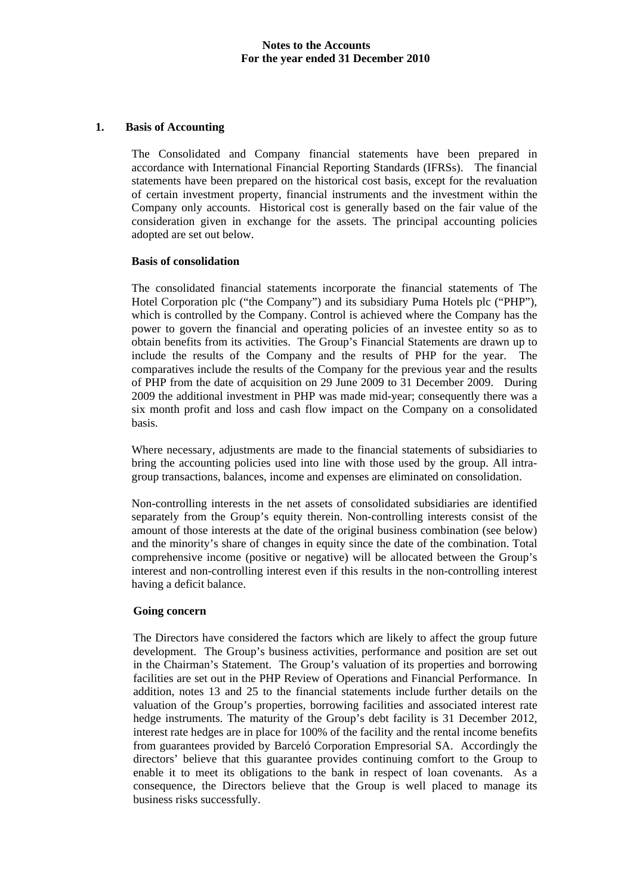#### **1. Basis of Accounting**

The Consolidated and Company financial statements have been prepared in accordance with International Financial Reporting Standards (IFRSs). The financial statements have been prepared on the historical cost basis, except for the revaluation of certain investment property, financial instruments and the investment within the Company only accounts. Historical cost is generally based on the fair value of the consideration given in exchange for the assets. The principal accounting policies adopted are set out below.

#### **Basis of consolidation**

The consolidated financial statements incorporate the financial statements of The Hotel Corporation plc ("the Company") and its subsidiary Puma Hotels plc ("PHP"), which is controlled by the Company. Control is achieved where the Company has the power to govern the financial and operating policies of an investee entity so as to obtain benefits from its activities. The Group's Financial Statements are drawn up to include the results of the Company and the results of PHP for the year. The comparatives include the results of the Company for the previous year and the results of PHP from the date of acquisition on 29 June 2009 to 31 December 2009. During 2009 the additional investment in PHP was made mid-year; consequently there was a six month profit and loss and cash flow impact on the Company on a consolidated basis.

Where necessary, adjustments are made to the financial statements of subsidiaries to bring the accounting policies used into line with those used by the group. All intragroup transactions, balances, income and expenses are eliminated on consolidation.

Non-controlling interests in the net assets of consolidated subsidiaries are identified separately from the Group's equity therein. Non-controlling interests consist of the amount of those interests at the date of the original business combination (see below) and the minority's share of changes in equity since the date of the combination. Total comprehensive income (positive or negative) will be allocated between the Group's interest and non-controlling interest even if this results in the non-controlling interest having a deficit balance.

#### **Going concern**

The Directors have considered the factors which are likely to affect the group future development. The Group's business activities, performance and position are set out in the Chairman's Statement. The Group's valuation of its properties and borrowing facilities are set out in the PHP Review of Operations and Financial Performance. In addition, notes 13 and 25 to the financial statements include further details on the valuation of the Group's properties, borrowing facilities and associated interest rate hedge instruments. The maturity of the Group's debt facility is 31 December 2012, interest rate hedges are in place for 100% of the facility and the rental income benefits from guarantees provided by Barceló Corporation Empresorial SA. Accordingly the directors' believe that this guarantee provides continuing comfort to the Group to enable it to meet its obligations to the bank in respect of loan covenants. As a consequence, the Directors believe that the Group is well placed to manage its business risks successfully.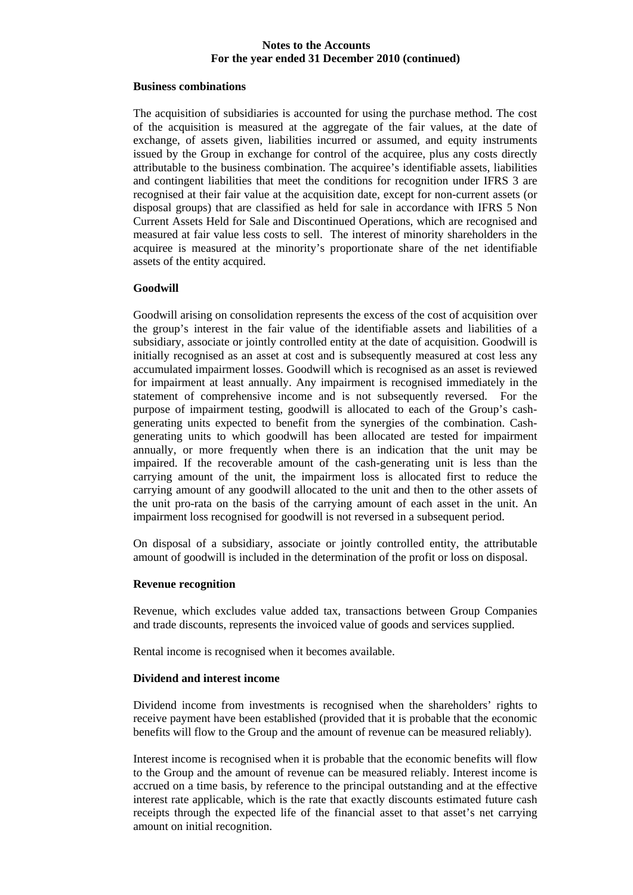#### **Business combinations**

The acquisition of subsidiaries is accounted for using the purchase method. The cost of the acquisition is measured at the aggregate of the fair values, at the date of exchange, of assets given, liabilities incurred or assumed, and equity instruments issued by the Group in exchange for control of the acquiree, plus any costs directly attributable to the business combination. The acquiree's identifiable assets, liabilities and contingent liabilities that meet the conditions for recognition under IFRS 3 are recognised at their fair value at the acquisition date, except for non-current assets (or disposal groups) that are classified as held for sale in accordance with IFRS 5 Non Current Assets Held for Sale and Discontinued Operations, which are recognised and measured at fair value less costs to sell. The interest of minority shareholders in the acquiree is measured at the minority's proportionate share of the net identifiable assets of the entity acquired.

#### **Goodwill**

Goodwill arising on consolidation represents the excess of the cost of acquisition over the group's interest in the fair value of the identifiable assets and liabilities of a subsidiary, associate or jointly controlled entity at the date of acquisition. Goodwill is initially recognised as an asset at cost and is subsequently measured at cost less any accumulated impairment losses. Goodwill which is recognised as an asset is reviewed for impairment at least annually. Any impairment is recognised immediately in the statement of comprehensive income and is not subsequently reversed. For the purpose of impairment testing, goodwill is allocated to each of the Group's cashgenerating units expected to benefit from the synergies of the combination. Cashgenerating units to which goodwill has been allocated are tested for impairment annually, or more frequently when there is an indication that the unit may be impaired. If the recoverable amount of the cash-generating unit is less than the carrying amount of the unit, the impairment loss is allocated first to reduce the carrying amount of any goodwill allocated to the unit and then to the other assets of the unit pro-rata on the basis of the carrying amount of each asset in the unit. An impairment loss recognised for goodwill is not reversed in a subsequent period.

On disposal of a subsidiary, associate or jointly controlled entity, the attributable amount of goodwill is included in the determination of the profit or loss on disposal.

#### **Revenue recognition**

Revenue, which excludes value added tax, transactions between Group Companies and trade discounts, represents the invoiced value of goods and services supplied.

Rental income is recognised when it becomes available.

#### **Dividend and interest income**

Dividend income from investments is recognised when the shareholders' rights to receive payment have been established (provided that it is probable that the economic benefits will flow to the Group and the amount of revenue can be measured reliably).

Interest income is recognised when it is probable that the economic benefits will flow to the Group and the amount of revenue can be measured reliably. Interest income is accrued on a time basis, by reference to the principal outstanding and at the effective interest rate applicable, which is the rate that exactly discounts estimated future cash receipts through the expected life of the financial asset to that asset's net carrying amount on initial recognition.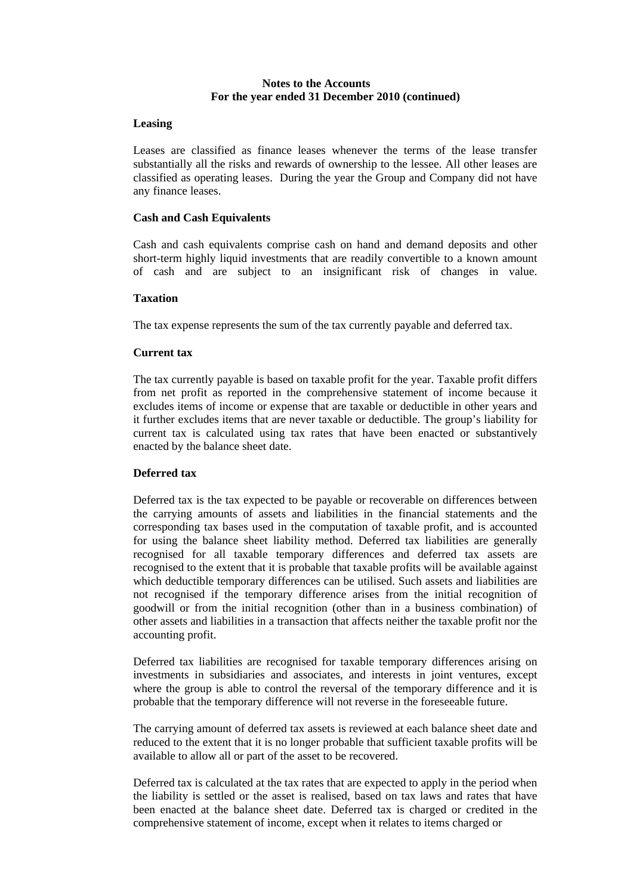## **Leasing**

Leases are classified as finance leases whenever the terms of the lease transfer substantially all the risks and rewards of ownership to the lessee. All other leases are classified as operating leases. During the year the Group and Company did not have any finance leases.

#### **Cash and Cash Equivalents**

Cash and cash equivalents comprise cash on hand and demand deposits and other short-term highly liquid investments that are readily convertible to a known amount of cash and are subject to an insignificant risk of changes in value.

#### **Taxation**

The tax expense represents the sum of the tax currently payable and deferred tax.

#### **Current tax**

The tax currently payable is based on taxable profit for the year. Taxable profit differs from net profit as reported in the comprehensive statement of income because it excludes items of income or expense that are taxable or deductible in other years and it further excludes items that are never taxable or deductible. The group's liability for current tax is calculated using tax rates that have been enacted or substantively enacted by the balance sheet date.

# **Deferred tax**

Deferred tax is the tax expected to be payable or recoverable on differences between the carrying amounts of assets and liabilities in the financial statements and the corresponding tax bases used in the computation of taxable profit, and is accounted for using the balance sheet liability method. Deferred tax liabilities are generally recognised for all taxable temporary differences and deferred tax assets are recognised to the extent that it is probable that taxable profits will be available against which deductible temporary differences can be utilised. Such assets and liabilities are not recognised if the temporary difference arises from the initial recognition of goodwill or from the initial recognition (other than in a business combination) of other assets and liabilities in a transaction that affects neither the taxable profit nor the accounting profit.

Deferred tax liabilities are recognised for taxable temporary differences arising on investments in subsidiaries and associates, and interests in joint ventures, except where the group is able to control the reversal of the temporary difference and it is probable that the temporary difference will not reverse in the foreseeable future.

The carrying amount of deferred tax assets is reviewed at each balance sheet date and reduced to the extent that it is no longer probable that sufficient taxable profits will be available to allow all or part of the asset to be recovered.

Deferred tax is calculated at the tax rates that are expected to apply in the period when the liability is settled or the asset is realised, based on tax laws and rates that have been enacted at the balance sheet date. Deferred tax is charged or credited in the comprehensive statement of income, except when it relates to items charged or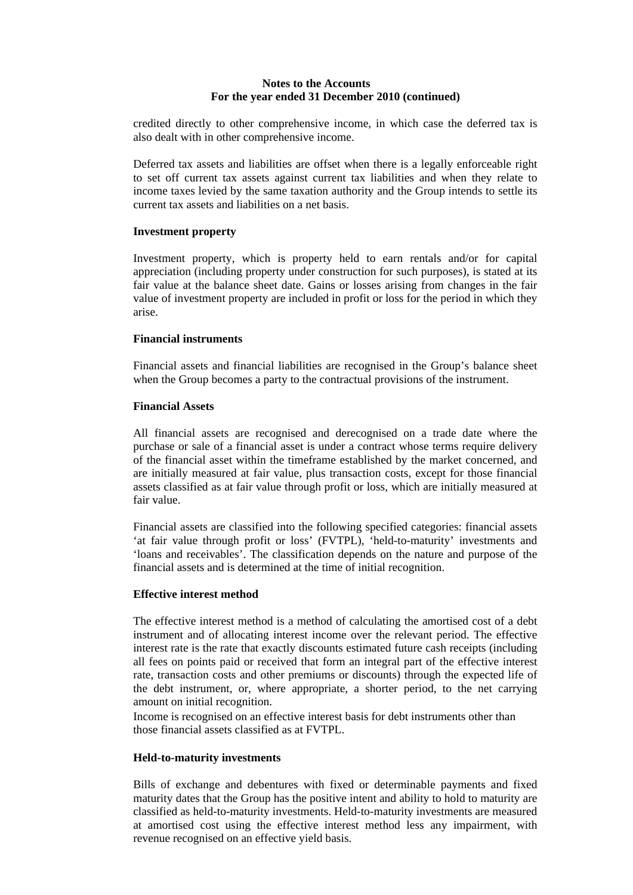credited directly to other comprehensive income, in which case the deferred tax is also dealt with in other comprehensive income.

Deferred tax assets and liabilities are offset when there is a legally enforceable right to set off current tax assets against current tax liabilities and when they relate to income taxes levied by the same taxation authority and the Group intends to settle its current tax assets and liabilities on a net basis.

#### **Investment property**

Investment property, which is property held to earn rentals and/or for capital appreciation (including property under construction for such purposes), is stated at its fair value at the balance sheet date. Gains or losses arising from changes in the fair value of investment property are included in profit or loss for the period in which they arise.

#### **Financial instruments**

Financial assets and financial liabilities are recognised in the Group's balance sheet when the Group becomes a party to the contractual provisions of the instrument.

#### **Financial Assets**

All financial assets are recognised and derecognised on a trade date where the purchase or sale of a financial asset is under a contract whose terms require delivery of the financial asset within the timeframe established by the market concerned, and are initially measured at fair value, plus transaction costs, except for those financial assets classified as at fair value through profit or loss, which are initially measured at fair value.

Financial assets are classified into the following specified categories: financial assets 'at fair value through profit or loss' (FVTPL), 'held-to-maturity' investments and 'loans and receivables'. The classification depends on the nature and purpose of the financial assets and is determined at the time of initial recognition.

# **Effective interest method**

The effective interest method is a method of calculating the amortised cost of a debt instrument and of allocating interest income over the relevant period. The effective interest rate is the rate that exactly discounts estimated future cash receipts (including all fees on points paid or received that form an integral part of the effective interest rate, transaction costs and other premiums or discounts) through the expected life of the debt instrument, or, where appropriate, a shorter period, to the net carrying amount on initial recognition.

Income is recognised on an effective interest basis for debt instruments other than those financial assets classified as at FVTPL.

# **Held-to-maturity investments**

Bills of exchange and debentures with fixed or determinable payments and fixed maturity dates that the Group has the positive intent and ability to hold to maturity are classified as held-to-maturity investments. Held-to-maturity investments are measured at amortised cost using the effective interest method less any impairment, with revenue recognised on an effective yield basis.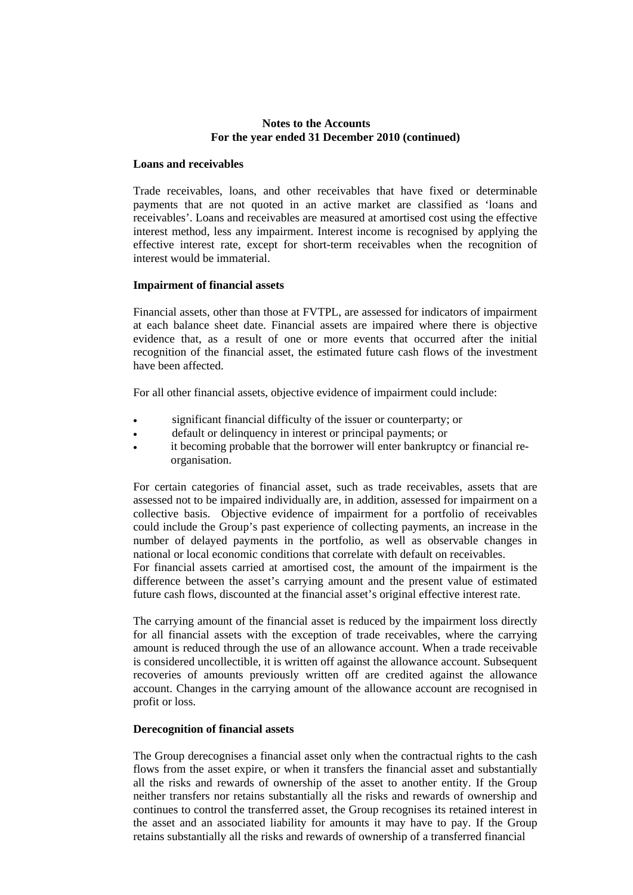#### **Loans and receivables**

Trade receivables, loans, and other receivables that have fixed or determinable payments that are not quoted in an active market are classified as 'loans and receivables'. Loans and receivables are measured at amortised cost using the effective interest method, less any impairment. Interest income is recognised by applying the effective interest rate, except for short-term receivables when the recognition of interest would be immaterial.

#### **Impairment of financial assets**

Financial assets, other than those at FVTPL, are assessed for indicators of impairment at each balance sheet date. Financial assets are impaired where there is objective evidence that, as a result of one or more events that occurred after the initial recognition of the financial asset, the estimated future cash flows of the investment have been affected.

For all other financial assets, objective evidence of impairment could include:

- significant financial difficulty of the issuer or counterparty; or
- default or delinquency in interest or principal payments; or
- it becoming probable that the borrower will enter bankruptcy or financial reorganisation.

For certain categories of financial asset, such as trade receivables, assets that are assessed not to be impaired individually are, in addition, assessed for impairment on a collective basis. Objective evidence of impairment for a portfolio of receivables could include the Group's past experience of collecting payments, an increase in the number of delayed payments in the portfolio, as well as observable changes in national or local economic conditions that correlate with default on receivables. For financial assets carried at amortised cost, the amount of the impairment is the difference between the asset's carrying amount and the present value of estimated future cash flows, discounted at the financial asset's original effective interest rate.

The carrying amount of the financial asset is reduced by the impairment loss directly for all financial assets with the exception of trade receivables, where the carrying amount is reduced through the use of an allowance account. When a trade receivable is considered uncollectible, it is written off against the allowance account. Subsequent recoveries of amounts previously written off are credited against the allowance account. Changes in the carrying amount of the allowance account are recognised in profit or loss.

# **Derecognition of financial assets**

The Group derecognises a financial asset only when the contractual rights to the cash flows from the asset expire, or when it transfers the financial asset and substantially all the risks and rewards of ownership of the asset to another entity. If the Group neither transfers nor retains substantially all the risks and rewards of ownership and continues to control the transferred asset, the Group recognises its retained interest in the asset and an associated liability for amounts it may have to pay. If the Group retains substantially all the risks and rewards of ownership of a transferred financial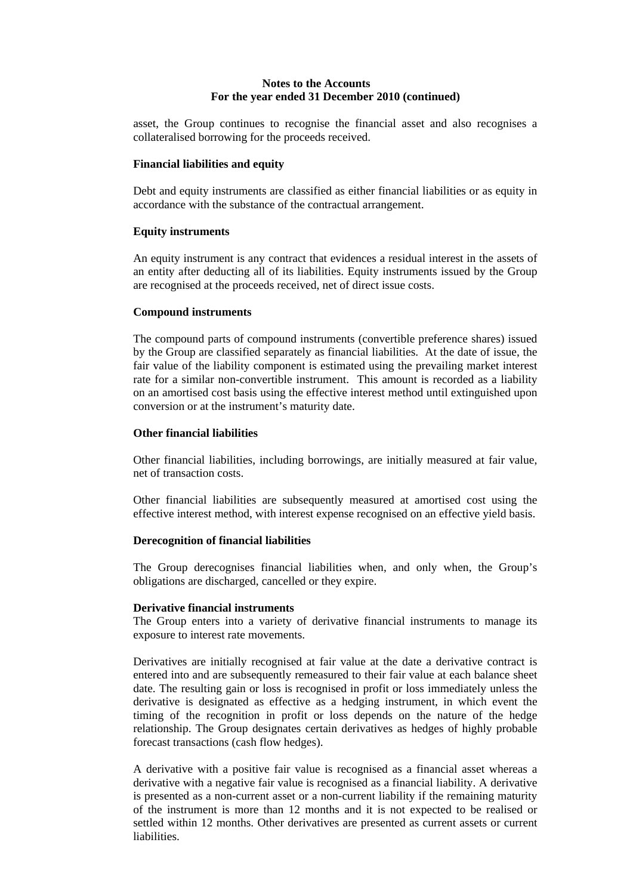asset, the Group continues to recognise the financial asset and also recognises a collateralised borrowing for the proceeds received.

#### **Financial liabilities and equity**

Debt and equity instruments are classified as either financial liabilities or as equity in accordance with the substance of the contractual arrangement.

#### **Equity instruments**

An equity instrument is any contract that evidences a residual interest in the assets of an entity after deducting all of its liabilities. Equity instruments issued by the Group are recognised at the proceeds received, net of direct issue costs.

#### **Compound instruments**

The compound parts of compound instruments (convertible preference shares) issued by the Group are classified separately as financial liabilities. At the date of issue, the fair value of the liability component is estimated using the prevailing market interest rate for a similar non-convertible instrument. This amount is recorded as a liability on an amortised cost basis using the effective interest method until extinguished upon conversion or at the instrument's maturity date.

#### **Other financial liabilities**

Other financial liabilities, including borrowings, are initially measured at fair value, net of transaction costs.

Other financial liabilities are subsequently measured at amortised cost using the effective interest method, with interest expense recognised on an effective yield basis.

### **Derecognition of financial liabilities**

The Group derecognises financial liabilities when, and only when, the Group's obligations are discharged, cancelled or they expire.

#### **Derivative financial instruments**

The Group enters into a variety of derivative financial instruments to manage its exposure to interest rate movements.

Derivatives are initially recognised at fair value at the date a derivative contract is entered into and are subsequently remeasured to their fair value at each balance sheet date. The resulting gain or loss is recognised in profit or loss immediately unless the derivative is designated as effective as a hedging instrument, in which event the timing of the recognition in profit or loss depends on the nature of the hedge relationship. The Group designates certain derivatives as hedges of highly probable forecast transactions (cash flow hedges).

A derivative with a positive fair value is recognised as a financial asset whereas a derivative with a negative fair value is recognised as a financial liability. A derivative is presented as a non-current asset or a non-current liability if the remaining maturity of the instrument is more than 12 months and it is not expected to be realised or settled within 12 months. Other derivatives are presented as current assets or current liabilities.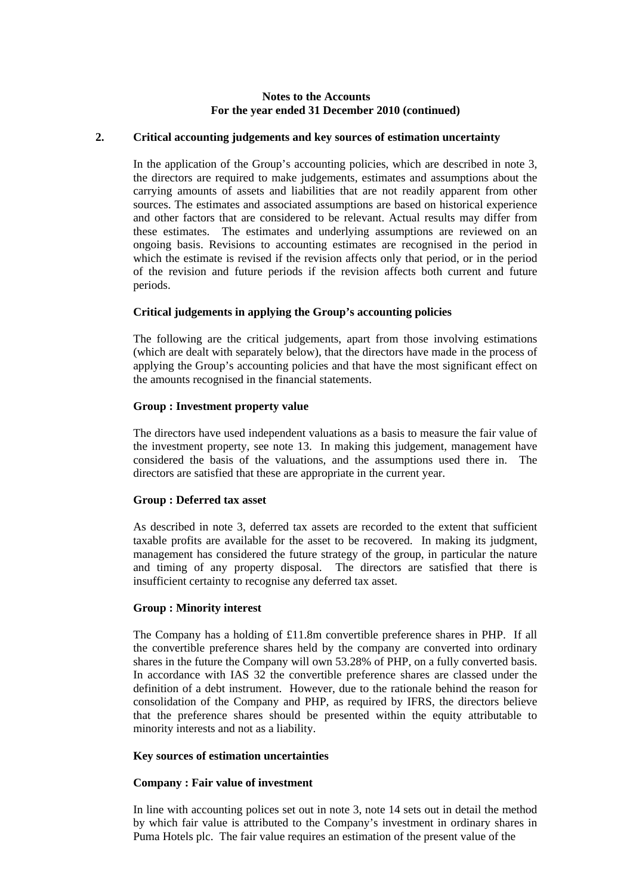#### **2. Critical accounting judgements and key sources of estimation uncertainty**

In the application of the Group's accounting policies, which are described in note 3, the directors are required to make judgements, estimates and assumptions about the carrying amounts of assets and liabilities that are not readily apparent from other sources. The estimates and associated assumptions are based on historical experience and other factors that are considered to be relevant. Actual results may differ from these estimates. The estimates and underlying assumptions are reviewed on an ongoing basis. Revisions to accounting estimates are recognised in the period in which the estimate is revised if the revision affects only that period, or in the period of the revision and future periods if the revision affects both current and future periods.

# **Critical judgements in applying the Group's accounting policies**

The following are the critical judgements, apart from those involving estimations (which are dealt with separately below), that the directors have made in the process of applying the Group's accounting policies and that have the most significant effect on the amounts recognised in the financial statements.

#### **Group : Investment property value**

The directors have used independent valuations as a basis to measure the fair value of the investment property, see note 13. In making this judgement, management have considered the basis of the valuations, and the assumptions used there in. The directors are satisfied that these are appropriate in the current year.

# **Group : Deferred tax asset**

As described in note 3, deferred tax assets are recorded to the extent that sufficient taxable profits are available for the asset to be recovered. In making its judgment, management has considered the future strategy of the group, in particular the nature and timing of any property disposal. The directors are satisfied that there is insufficient certainty to recognise any deferred tax asset.

#### **Group : Minority interest**

The Company has a holding of £11.8m convertible preference shares in PHP. If all the convertible preference shares held by the company are converted into ordinary shares in the future the Company will own 53.28% of PHP, on a fully converted basis. In accordance with IAS 32 the convertible preference shares are classed under the definition of a debt instrument. However, due to the rationale behind the reason for consolidation of the Company and PHP, as required by IFRS, the directors believe that the preference shares should be presented within the equity attributable to minority interests and not as a liability.

#### **Key sources of estimation uncertainties**

# **Company : Fair value of investment**

In line with accounting polices set out in note 3, note 14 sets out in detail the method by which fair value is attributed to the Company's investment in ordinary shares in Puma Hotels plc. The fair value requires an estimation of the present value of the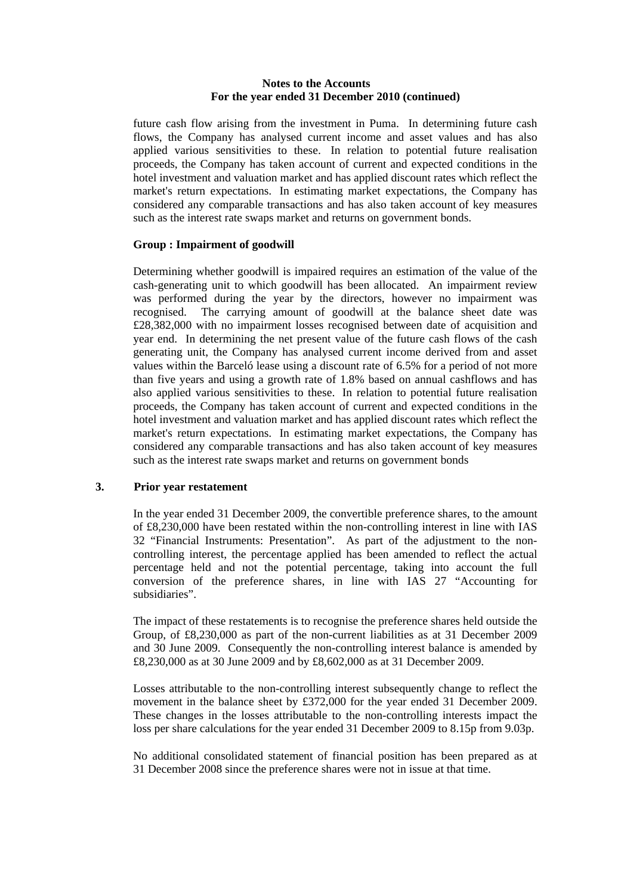future cash flow arising from the investment in Puma. In determining future cash flows, the Company has analysed current income and asset values and has also applied various sensitivities to these. In relation to potential future realisation proceeds, the Company has taken account of current and expected conditions in the hotel investment and valuation market and has applied discount rates which reflect the market's return expectations. In estimating market expectations, the Company has considered any comparable transactions and has also taken account of key measures such as the interest rate swaps market and returns on government bonds.

# **Group : Impairment of goodwill**

Determining whether goodwill is impaired requires an estimation of the value of the cash-generating unit to which goodwill has been allocated. An impairment review was performed during the year by the directors, however no impairment was recognised. The carrying amount of goodwill at the balance sheet date was £28,382,000 with no impairment losses recognised between date of acquisition and year end. In determining the net present value of the future cash flows of the cash generating unit, the Company has analysed current income derived from and asset values within the Barceló lease using a discount rate of 6.5% for a period of not more than five years and using a growth rate of 1.8% based on annual cashflows and has also applied various sensitivities to these. In relation to potential future realisation proceeds, the Company has taken account of current and expected conditions in the hotel investment and valuation market and has applied discount rates which reflect the market's return expectations. In estimating market expectations, the Company has considered any comparable transactions and has also taken account of key measures such as the interest rate swaps market and returns on government bonds

# **3. Prior year restatement**

In the year ended 31 December 2009, the convertible preference shares, to the amount of £8,230,000 have been restated within the non-controlling interest in line with IAS 32 "Financial Instruments: Presentation". As part of the adjustment to the noncontrolling interest, the percentage applied has been amended to reflect the actual percentage held and not the potential percentage, taking into account the full conversion of the preference shares, in line with IAS 27 "Accounting for subsidiaries".

The impact of these restatements is to recognise the preference shares held outside the Group, of £8,230,000 as part of the non-current liabilities as at 31 December 2009 and 30 June 2009. Consequently the non-controlling interest balance is amended by £8,230,000 as at 30 June 2009 and by £8,602,000 as at 31 December 2009.

Losses attributable to the non-controlling interest subsequently change to reflect the movement in the balance sheet by £372,000 for the year ended 31 December 2009. These changes in the losses attributable to the non-controlling interests impact the loss per share calculations for the year ended 31 December 2009 to 8.15p from 9.03p.

No additional consolidated statement of financial position has been prepared as at 31 December 2008 since the preference shares were not in issue at that time.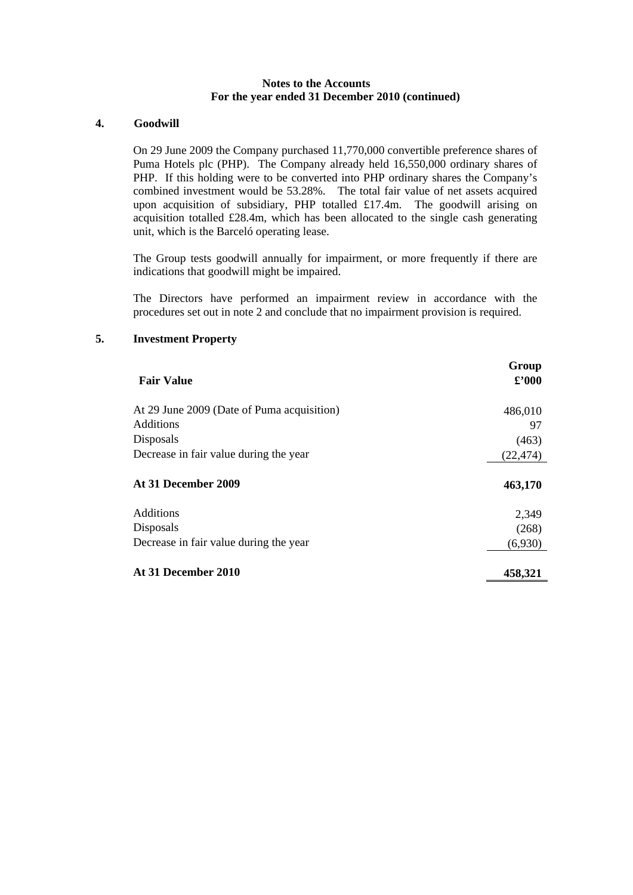# **4. Goodwill**

On 29 June 2009 the Company purchased 11,770,000 convertible preference shares of Puma Hotels plc (PHP). The Company already held 16,550,000 ordinary shares of PHP. If this holding were to be converted into PHP ordinary shares the Company's combined investment would be 53.28%. The total fair value of net assets acquired upon acquisition of subsidiary, PHP totalled £17.4m. The goodwill arising on acquisition totalled £28.4m, which has been allocated to the single cash generating unit, which is the Barceló operating lease.

The Group tests goodwill annually for impairment, or more frequently if there are indications that goodwill might be impaired.

The Directors have performed an impairment review in accordance with the procedures set out in note 2 and conclude that no impairment provision is required.

# **5. Investment Property**

| <b>Fair Value</b>                          | Group<br>$\pounds$ '000 |
|--------------------------------------------|-------------------------|
| At 29 June 2009 (Date of Puma acquisition) | 486,010                 |
| <b>Additions</b>                           | 97                      |
| Disposals                                  | (463)                   |
| Decrease in fair value during the year     | (22, 474)               |
| At 31 December 2009                        | 463,170                 |
| <b>Additions</b>                           | 2,349                   |
| Disposals                                  | (268)                   |
| Decrease in fair value during the year     | (6,930)                 |
| At 31 December 2010                        | 458,321                 |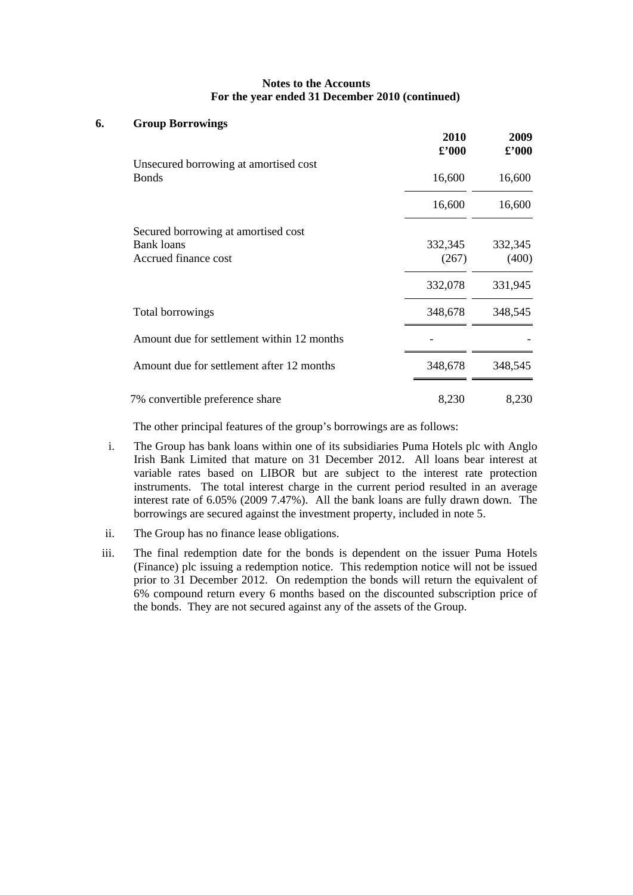#### **6. Group Borrowings**

|                                            | 2010<br>$\pounds$ '000 | 2009<br>$\pmb{\pounds}^{\pmb{\cdot}} 000$ |
|--------------------------------------------|------------------------|-------------------------------------------|
| Unsecured borrowing at amortised cost      |                        |                                           |
| <b>Bonds</b>                               | 16,600                 | 16,600                                    |
|                                            | 16,600                 | 16,600                                    |
| Secured borrowing at amortised cost        |                        |                                           |
| <b>Bank</b> loans                          | 332,345                | 332,345                                   |
| Accrued finance cost                       | (267)                  | (400)                                     |
|                                            | 332,078                | 331,945                                   |
| Total borrowings                           | 348,678                | 348,545                                   |
| Amount due for settlement within 12 months |                        |                                           |
| Amount due for settlement after 12 months  | 348,678                | 348,545                                   |
| 7% convertible preference share            | 8,230                  | 8,230                                     |

The other principal features of the group's borrowings are as follows:

- i. The Group has bank loans within one of its subsidiaries Puma Hotels plc with Anglo Irish Bank Limited that mature on 31 December 2012. All loans bear interest at variable rates based on LIBOR but are subject to the interest rate protection instruments. The total interest charge in the current period resulted in an average interest rate of 6.05% (2009 7.47%). All the bank loans are fully drawn down. The borrowings are secured against the investment property, included in note 5.
- ii. The Group has no finance lease obligations.
- iii. The final redemption date for the bonds is dependent on the issuer Puma Hotels (Finance) plc issuing a redemption notice. This redemption notice will not be issued prior to 31 December 2012. On redemption the bonds will return the equivalent of 6% compound return every 6 months based on the discounted subscription price of the bonds. They are not secured against any of the assets of the Group.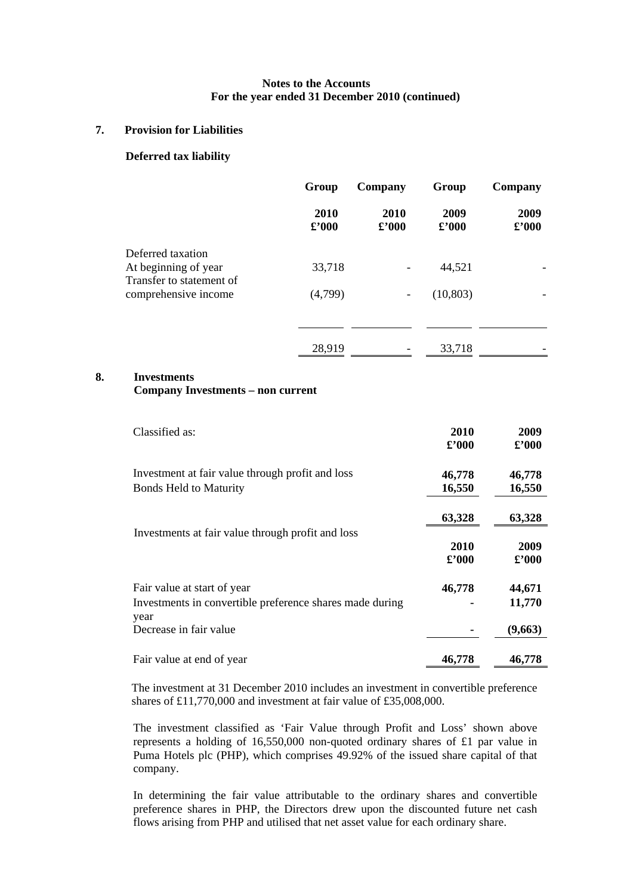#### **7. Provision for Liabilities**

### **Deferred tax liability**

|                                                  | Group                  | Company                | Group                  | Company                                   |
|--------------------------------------------------|------------------------|------------------------|------------------------|-------------------------------------------|
|                                                  | 2010<br>$\pounds$ '000 | 2010<br>$\pounds$ '000 | 2009<br>$\pounds$ '000 | 2009<br>$\pmb{\pounds}^{\pmb{\cdot}} 000$ |
| Deferred taxation                                |                        |                        |                        |                                           |
| At beginning of year<br>Transfer to statement of | 33,718                 |                        | 44,521                 |                                           |
| comprehensive income                             | (4,799)                |                        | (10, 803)              |                                           |
|                                                  |                        |                        |                        |                                           |
|                                                  | 28,919                 |                        | 33,718                 |                                           |

## **8. Investments**

# **Company Investments – non current**

| Classified as:                                                   | 2010<br>$\pounds$ '000 | 2009<br>$\pounds$ '000 |
|------------------------------------------------------------------|------------------------|------------------------|
| Investment at fair value through profit and loss                 | 46,778                 | 46,778                 |
| <b>Bonds Held to Maturity</b>                                    | 16,550                 | 16,550                 |
|                                                                  | 63,328                 | 63,328                 |
| Investments at fair value through profit and loss                |                        |                        |
|                                                                  | 2010<br>$\pounds$ '000 | 2009<br>$\pounds 000$  |
| Fair value at start of year                                      | 46,778                 | 44,671                 |
| Investments in convertible preference shares made during<br>year |                        | 11,770                 |
| Decrease in fair value                                           |                        | (9,663)                |
| Fair value at end of year                                        | 46,778                 | 46,778                 |

The investment at 31 December 2010 includes an investment in convertible preference shares of £11,770,000 and investment at fair value of £35,008,000.

The investment classified as 'Fair Value through Profit and Loss' shown above represents a holding of 16,550,000 non-quoted ordinary shares of £1 par value in Puma Hotels plc (PHP), which comprises 49.92% of the issued share capital of that company.

In determining the fair value attributable to the ordinary shares and convertible preference shares in PHP, the Directors drew upon the discounted future net cash flows arising from PHP and utilised that net asset value for each ordinary share.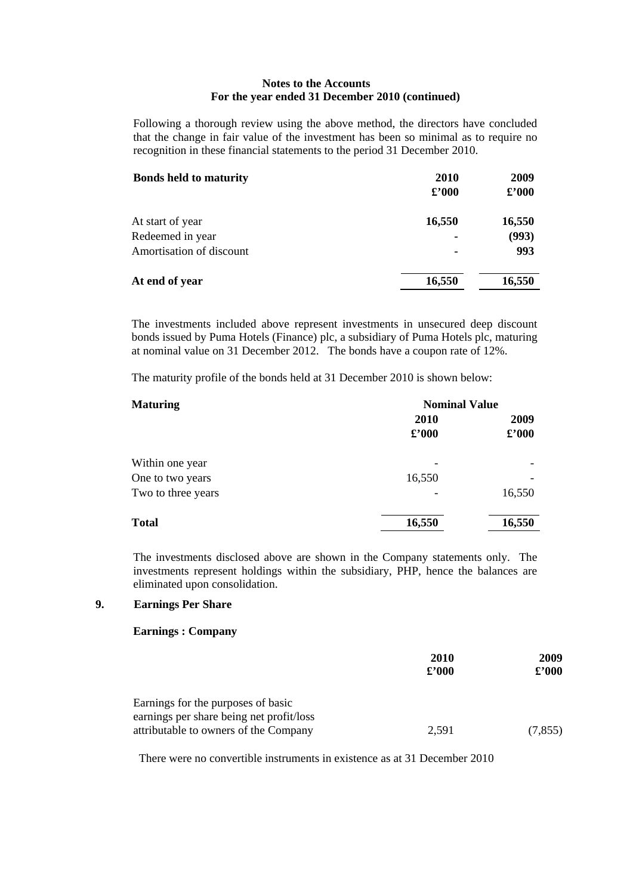Following a thorough review using the above method, the directors have concluded that the change in fair value of the investment has been so minimal as to require no recognition in these financial statements to the period 31 December 2010.

| <b>Bonds held to maturity</b> | <b>2010</b><br>$\pounds$ '000 | 2009<br>$\pounds$ '000 |
|-------------------------------|-------------------------------|------------------------|
| At start of year              | 16,550                        | 16,550                 |
| Redeemed in year              |                               | (993)                  |
| Amortisation of discount      |                               | 993                    |
| At end of year                | 16,550                        | 16,550                 |
|                               |                               |                        |

The investments included above represent investments in unsecured deep discount bonds issued by Puma Hotels (Finance) plc, a subsidiary of Puma Hotels plc, maturing at nominal value on 31 December 2012. The bonds have a coupon rate of 12%.

The maturity profile of the bonds held at 31 December 2010 is shown below:

| <b>Maturing</b>    | <b>Nominal Value</b> |                |  |
|--------------------|----------------------|----------------|--|
|                    | <b>2010</b>          | 2009           |  |
|                    | $\pounds$ '000       | $\pounds$ '000 |  |
| Within one year    |                      |                |  |
| One to two years   | 16,550               | -              |  |
| Two to three years |                      | 16,550         |  |
| <b>Total</b>       | 16,550               | 16,550         |  |

The investments disclosed above are shown in the Company statements only. The investments represent holdings within the subsidiary, PHP, hence the balances are eliminated upon consolidation.

# **9. Earnings Per Share**

#### **Earnings : Company**

|                                                                                | 2010<br>$\pounds$ '000 | 2009<br>$\pounds$ '000 |
|--------------------------------------------------------------------------------|------------------------|------------------------|
| Earnings for the purposes of basic<br>earnings per share being net profit/loss |                        |                        |
| attributable to owners of the Company                                          | 2,591                  | (7,855)                |

There were no convertible instruments in existence as at 31 December 2010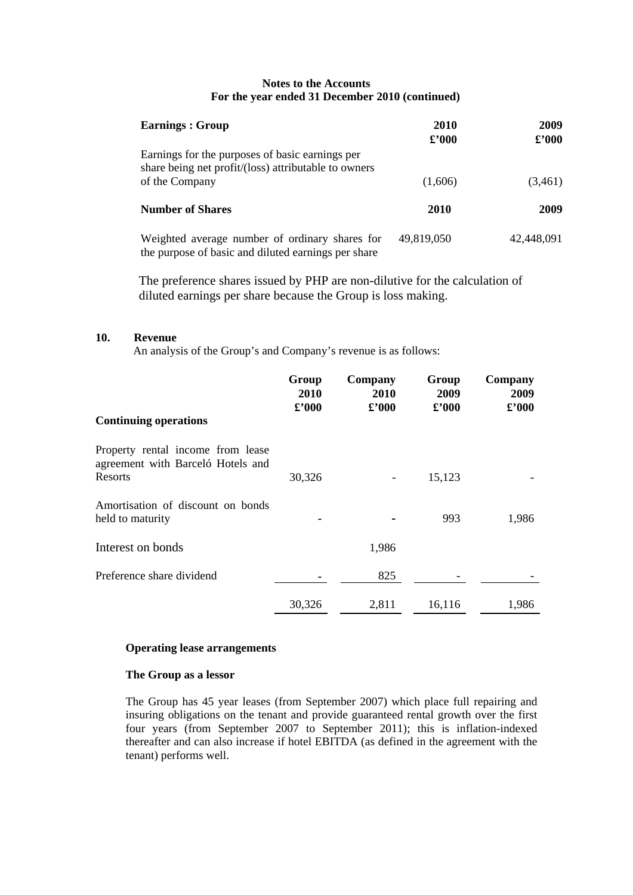| <b>Earnings: Group</b>                                                                                | 2010<br>$\pounds 000$ | 2009<br>$\pounds$ '000 |
|-------------------------------------------------------------------------------------------------------|-----------------------|------------------------|
| Earnings for the purposes of basic earnings per                                                       |                       |                        |
| share being net profit/(loss) attributable to owners<br>of the Company                                | (1,606)               | (3,461)                |
| <b>Number of Shares</b>                                                                               | 2010                  | 2009                   |
| Weighted average number of ordinary shares for<br>the purpose of basic and diluted earnings per share | 49,819,050            | 42,448,091             |

The preference shares issued by PHP are non-dilutive for the calculation of diluted earnings per share because the Group is loss making.

# **10. Revenue**

An analysis of the Group's and Company's revenue is as follows:

| <b>Continuing operations</b>                                                      | Group<br><b>2010</b><br>$\pounds$ '000 | Company<br>2010<br>$\pounds$ '000 | Group<br>2009<br>$\pounds$ '000 | Company<br>2009<br>$\pounds$ '000 |
|-----------------------------------------------------------------------------------|----------------------------------------|-----------------------------------|---------------------------------|-----------------------------------|
|                                                                                   |                                        |                                   |                                 |                                   |
| Property rental income from lease<br>agreement with Barceló Hotels and<br>Resorts | 30,326                                 |                                   | 15,123                          |                                   |
|                                                                                   |                                        |                                   |                                 |                                   |
| Amortisation of discount on bonds<br>held to maturity                             |                                        |                                   | 993                             | 1,986                             |
| Interest on bonds                                                                 |                                        | 1,986                             |                                 |                                   |
| Preference share dividend                                                         |                                        | 825                               |                                 |                                   |
|                                                                                   | 30,326                                 | 2,811                             | 16.116                          | 1,986                             |

#### **Operating lease arrangements**

#### **The Group as a lessor**

The Group has 45 year leases (from September 2007) which place full repairing and insuring obligations on the tenant and provide guaranteed rental growth over the first four years (from September 2007 to September 2011); this is inflation-indexed thereafter and can also increase if hotel EBITDA (as defined in the agreement with the tenant) performs well.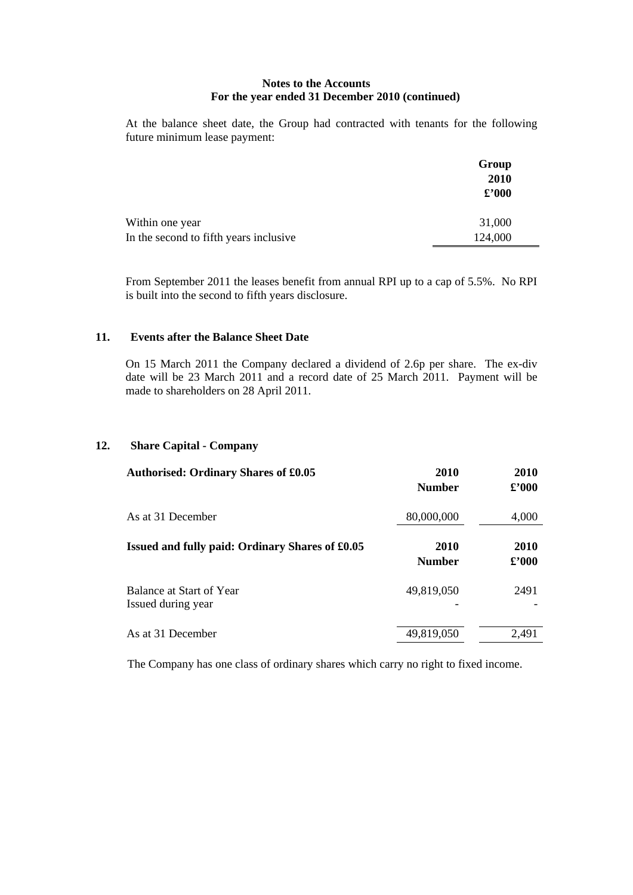At the balance sheet date, the Group had contracted with tenants for the following future minimum lease payment:

|                                        | Group          |
|----------------------------------------|----------------|
|                                        | 2010           |
|                                        | $\pounds$ '000 |
| Within one year                        | 31,000         |
| In the second to fifth years inclusive | 124,000        |

From September 2011 the leases benefit from annual RPI up to a cap of 5.5%. No RPI is built into the second to fifth years disclosure.

### **11. Events after the Balance Sheet Date**

On 15 March 2011 the Company declared a dividend of 2.6p per share. The ex-div date will be 23 March 2011 and a record date of 25 March 2011. Payment will be made to shareholders on 28 April 2011.

# **12. Share Capital - Company**

| <b>Authorised: Ordinary Shares of £0.05</b>     | 2010<br><b>Number</b> | 2010<br>$\pounds$ '000 |
|-------------------------------------------------|-----------------------|------------------------|
| As at 31 December                               | 80,000,000            | 4,000                  |
| Issued and fully paid: Ordinary Shares of £0.05 | 2010<br><b>Number</b> | 2010<br>$\pounds$ '000 |
| Balance at Start of Year<br>Issued during year  | 49,819,050            | 2491                   |
| As at 31 December                               | 49,819,050            | 2.491                  |

The Company has one class of ordinary shares which carry no right to fixed income.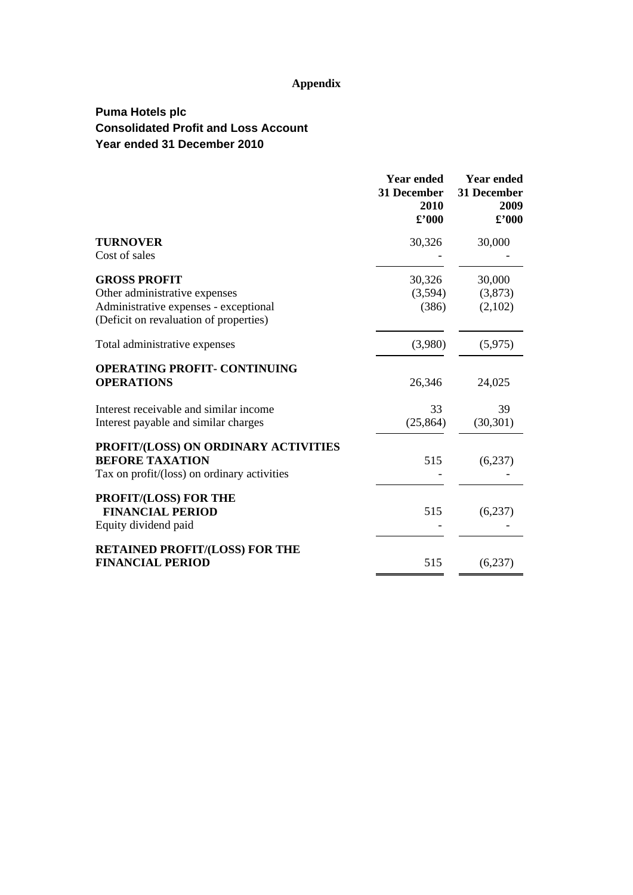# **Appendix**

# **Puma Hotels plc Consolidated Profit and Loss Account Year ended 31 December 2010**

|                                                                                                               | <b>Year ended</b><br>31 December<br>2010<br>$\pounds$ '000 | <b>Year ended</b><br>31 December<br>2009<br>$\pmb{\pounds}^{\prime}000$ |
|---------------------------------------------------------------------------------------------------------------|------------------------------------------------------------|-------------------------------------------------------------------------|
| <b>TURNOVER</b>                                                                                               | 30,326                                                     | 30,000                                                                  |
| Cost of sales                                                                                                 |                                                            |                                                                         |
| <b>GROSS PROFIT</b>                                                                                           | 30,326                                                     | 30,000                                                                  |
| Other administrative expenses                                                                                 | (3,594)                                                    | (3,873)                                                                 |
| Administrative expenses - exceptional<br>(Deficit on revaluation of properties)                               | (386)                                                      | (2,102)                                                                 |
| Total administrative expenses                                                                                 | (3,980)                                                    | (5,975)                                                                 |
| <b>OPERATING PROFIT- CONTINUING</b><br><b>OPERATIONS</b>                                                      | 26,346                                                     | 24,025                                                                  |
| Interest receivable and similar income                                                                        | 33                                                         | 39                                                                      |
| Interest payable and similar charges                                                                          | (25, 864)                                                  | (30, 301)                                                               |
| PROFIT/(LOSS) ON ORDINARY ACTIVITIES<br><b>BEFORE TAXATION</b><br>Tax on profit/(loss) on ordinary activities | 515                                                        | (6,237)                                                                 |
| PROFIT/(LOSS) FOR THE<br><b>FINANCIAL PERIOD</b><br>Equity dividend paid                                      | 515                                                        | (6,237)                                                                 |
| <b>RETAINED PROFIT/(LOSS) FOR THE</b><br><b>FINANCIAL PERIOD</b>                                              | 515                                                        | (6,237)                                                                 |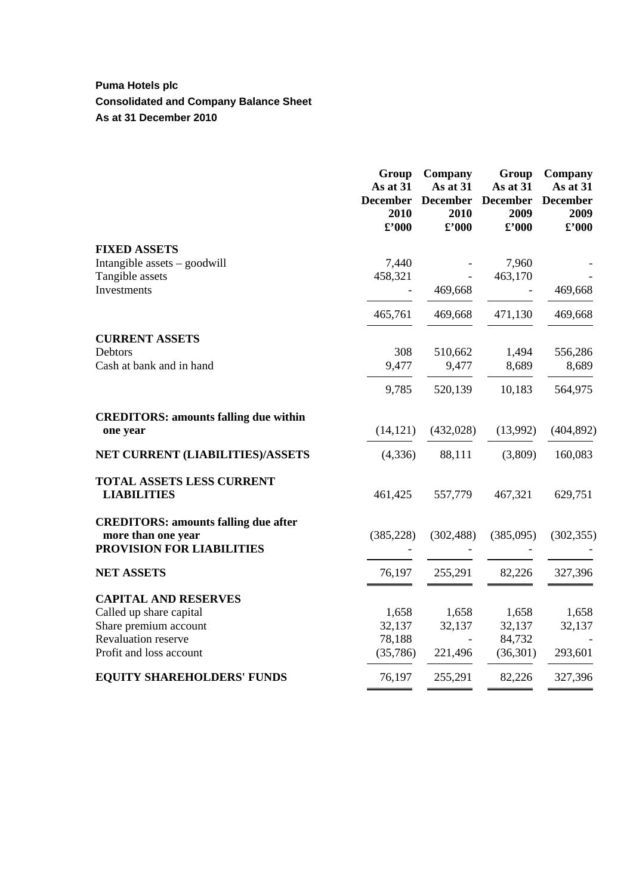# **Puma Hotels plc Consolidated and Company Balance Sheet As at 31 December 2010**

|                                                                                                                                          | Group<br>As at 31<br><b>December</b><br>2010<br>$\pounds$ '000 | Company<br>As at 31<br><b>December</b><br>2010<br>$\pounds$ '000 | Group<br>As at 31<br><b>December</b><br>2009<br>£'000 | Company<br>As at 31<br><b>December</b><br>2009<br>$\pounds$ '000 |
|------------------------------------------------------------------------------------------------------------------------------------------|----------------------------------------------------------------|------------------------------------------------------------------|-------------------------------------------------------|------------------------------------------------------------------|
| <b>FIXED ASSETS</b>                                                                                                                      |                                                                |                                                                  |                                                       |                                                                  |
| Intangible assets – goodwill<br>Tangible assets<br>Investments                                                                           | 7,440<br>458,321                                               | 469,668                                                          | 7,960<br>463,170                                      | 469,668                                                          |
|                                                                                                                                          | 465,761                                                        | 469,668                                                          | 471,130                                               | 469,668                                                          |
| <b>CURRENT ASSETS</b>                                                                                                                    |                                                                |                                                                  |                                                       |                                                                  |
| Debtors<br>Cash at bank and in hand                                                                                                      | 308<br>9,477                                                   | 510,662<br>9,477                                                 | 1,494<br>8,689                                        | 556,286<br>8,689                                                 |
|                                                                                                                                          | 9,785                                                          | 520,139                                                          | 10,183                                                | 564,975                                                          |
| <b>CREDITORS: amounts falling due within</b><br>one year                                                                                 | (14, 121)                                                      | (432,028)                                                        | (13,992)                                              | (404, 892)                                                       |
| NET CURRENT (LIABILITIES)/ASSETS                                                                                                         | (4, 336)                                                       | 88,111                                                           | (3,809)                                               | 160,083                                                          |
| <b>TOTAL ASSETS LESS CURRENT</b><br><b>LIABILITIES</b>                                                                                   | 461,425                                                        | 557,779                                                          | 467,321                                               | 629,751                                                          |
| <b>CREDITORS: amounts falling due after</b><br>more than one year<br>PROVISION FOR LIABILITIES                                           | (385, 228)                                                     | (302, 488)                                                       | (385,095)                                             | (302, 355)                                                       |
| <b>NET ASSETS</b>                                                                                                                        | 76,197                                                         | 255,291                                                          | 82,226                                                | 327,396                                                          |
| <b>CAPITAL AND RESERVES</b><br>Called up share capital<br>Share premium account<br><b>Revaluation reserve</b><br>Profit and loss account | 1,658<br>32,137<br>78,188<br>(35,786)                          | 1,658<br>32,137<br>221,496                                       | 1,658<br>32,137<br>84,732<br>(36,301)                 | 1,658<br>32,137<br>293,601                                       |
| <b>EQUITY SHAREHOLDERS' FUNDS</b>                                                                                                        | 76,197                                                         | 255,291                                                          | 82,226                                                | 327,396                                                          |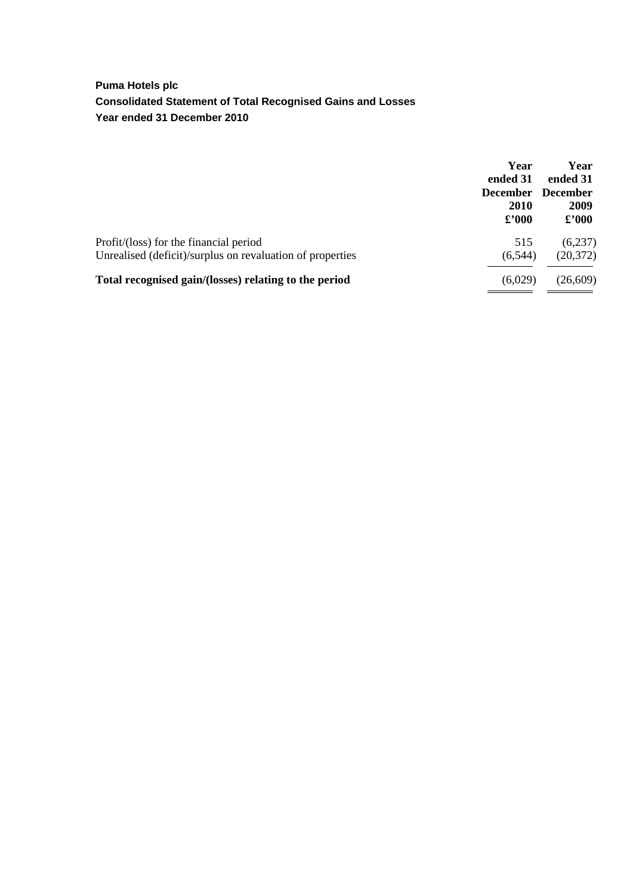# **Puma Hotels plc Consolidated Statement of Total Recognised Gains and Losses Year ended 31 December 2010**

|                                                                                                     | Year<br>ended 31<br>2010<br>$\pounds$ '000 | Year<br>ended 31<br>December December<br>2009<br>$\pounds$ '000 |
|-----------------------------------------------------------------------------------------------------|--------------------------------------------|-----------------------------------------------------------------|
| Profit/(loss) for the financial period<br>Unrealised (deficit)/surplus on revaluation of properties | 515<br>(6, 544)                            | (6,237)<br>(20,372)                                             |
| Total recognised gain/(losses) relating to the period                                               | (6,029)                                    | (26,609)                                                        |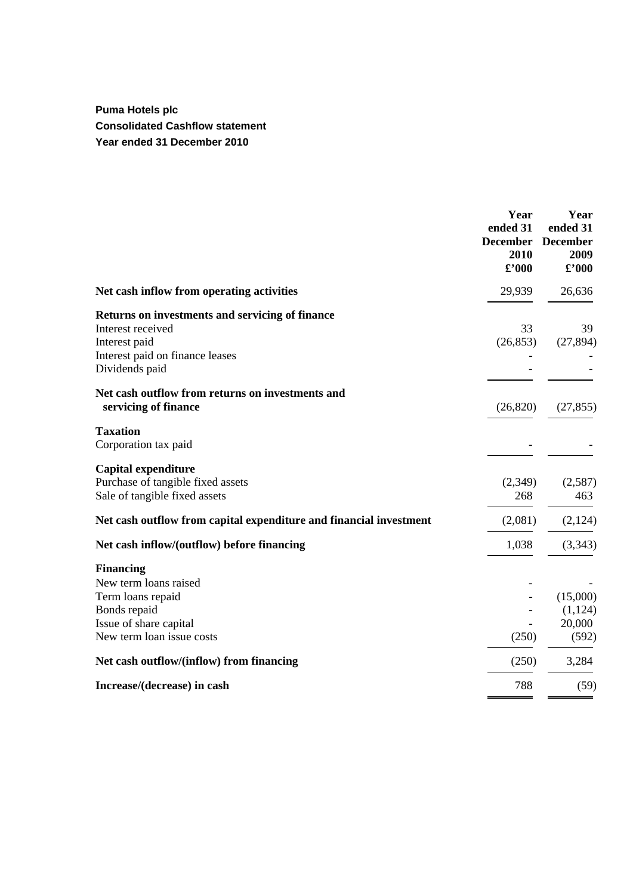**Puma Hotels plc Consolidated Cashflow statement Year ended 31 December 2010** 

|                                                                                                                                            | Year<br>ended 31<br><b>December</b><br>2010<br>$\pounds$ '000 | Year<br>ended 31<br><b>December</b><br>2009<br>$\pounds$ '000 |
|--------------------------------------------------------------------------------------------------------------------------------------------|---------------------------------------------------------------|---------------------------------------------------------------|
| Net cash inflow from operating activities                                                                                                  | 29,939                                                        | 26,636                                                        |
| Returns on investments and servicing of finance<br>Interest received<br>Interest paid<br>Interest paid on finance leases<br>Dividends paid | 33<br>(26, 853)                                               | 39<br>(27, 894)                                               |
| Net cash outflow from returns on investments and<br>servicing of finance                                                                   | (26, 820)                                                     | (27, 855)                                                     |
| <b>Taxation</b><br>Corporation tax paid                                                                                                    |                                                               |                                                               |
| <b>Capital expenditure</b><br>Purchase of tangible fixed assets<br>Sale of tangible fixed assets                                           | (2,349)<br>268                                                | (2,587)<br>463                                                |
| Net cash outflow from capital expenditure and financial investment                                                                         | (2,081)                                                       | (2,124)                                                       |
| Net cash inflow/(outflow) before financing                                                                                                 | 1,038                                                         | (3,343)                                                       |
| <b>Financing</b><br>New term loans raised<br>Term loans repaid<br>Bonds repaid<br>Issue of share capital<br>New term loan issue costs      | (250)                                                         | (15,000)<br>(1,124)<br>20,000<br>(592)                        |
| Net cash outflow/(inflow) from financing                                                                                                   | (250)                                                         | 3,284                                                         |
| Increase/(decrease) in cash                                                                                                                | 788                                                           | (59)                                                          |